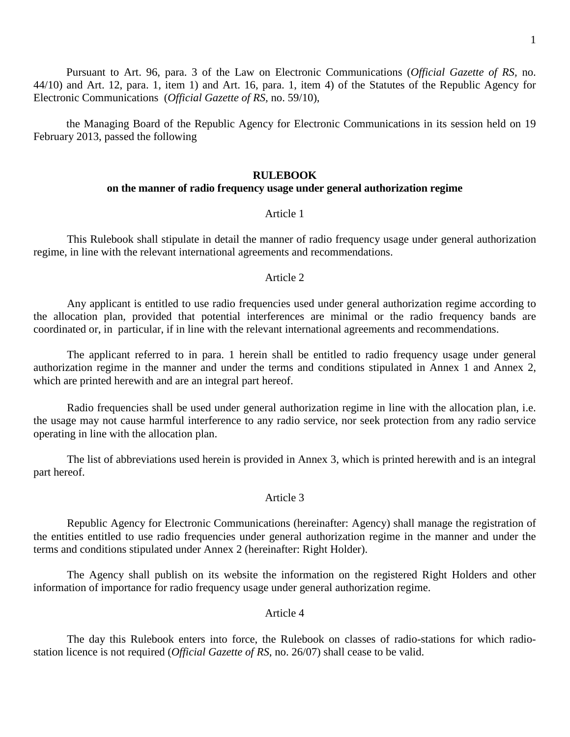Pursuant to Art. 96, para. 3 of the Law on Electronic Communications (*Official Gazette of RS,* no. 44/10) and Art. 12, para. 1, item 1) and Art. 16, para. 1, item 4) of the Statutes of the Republic Agency for Electronic Communications (*Official Gazette of RS,* no. 59/10),

the Managing Board of the Republic Agency for Electronic Communications in its session held on 19 February 2013, passed the following

#### **RULEBOOK**

### **on the manner of radio frequency usage under general authorization regime**

#### Article 1

This Rulebook shall stipulate in detail the manner of radio frequency usage under general authorization regime, in line with the relevant international agreements and recommendations.

#### Article 2

Any applicant is entitled to use radio frequencies used under general authorization regime according to the allocation plan, provided that potential interferences are minimal or the radio frequency bands are coordinated or, in particular, if in line with the relevant international agreements and recommendations.

The applicant referred to in para. 1 herein shall be entitled to radio frequency usage under general authorization regime in the manner and under the terms and conditions stipulated in Annex 1 and Annex 2, which are printed herewith and are an integral part hereof.

Radio frequencies shall be used under general authorization regime in line with the allocation plan, i.e. the usage may not cause harmful interference to any radio service, nor seek protection from any radio service operating in line with the allocation plan.

The list of abbreviations used herein is provided in Annex 3, which is printed herewith and is an integral part hereof.

### Article 3

Republic Agency for Electronic Communications (hereinafter: Agency) shall manage the registration of the entities entitled to use radio frequencies under general authorization regime in the manner and under the terms and conditions stipulated under Annex 2 (hereinafter: Right Holder).

The Agency shall publish on its website the information on the registered Right Holders and other information of importance for radio frequency usage under general authorization regime.

#### Article 4

The day this Rulebook enters into force, the Rulebook on classes of radio-stations for which radiostation licence is not required (*Official Gazette of RS*, no. 26/07) shall cease to be valid.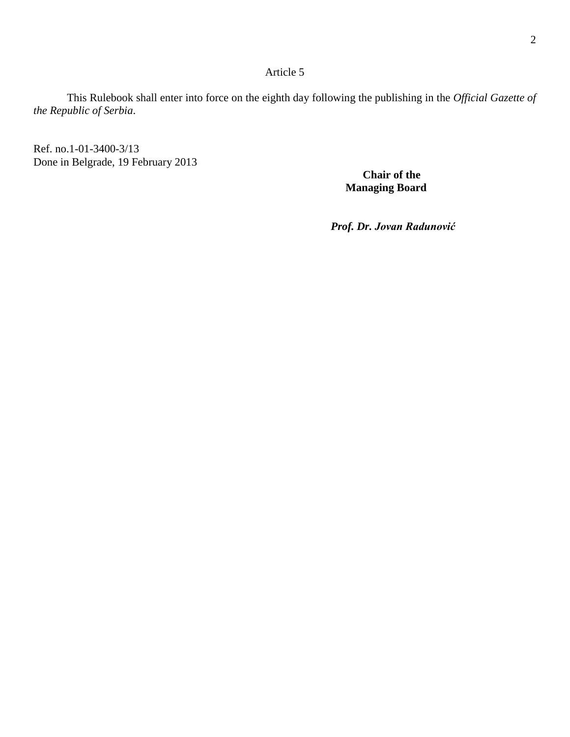## Article 5

This Rulebook shall enter into force on the eighth day following the publishing in the *Official Gazette of the Republic of Serbia*.

Ref. no.1-01-3400-3/13 Done in Belgrade, 19 February 2013

 **Chair of the Managing Board**

 *Prof. Dr. Jovan Radunović*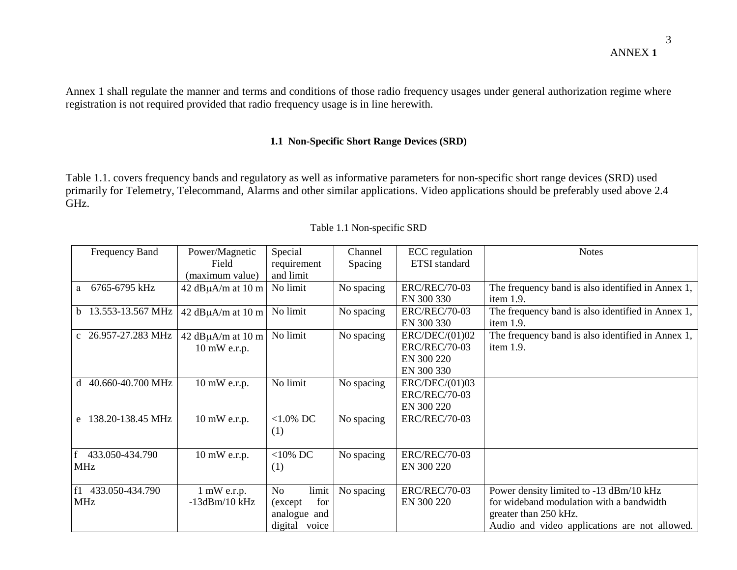Annex 1 shall regulate the manner and terms and conditions of those radio frequency usages under general authorization regime where registration is not required provided that radio frequency usage is in line herewith.

## **1.1 Non-Specific Short Range Devices (SRD)**

Table 1.1. covers frequency bands and regulatory as well as informative parameters for non-specific short range devices (SRD) used primarily for Telemetry, Telecommand, Alarms and other similar applications. Video applications should be preferably used above 2.4 GHz.

| Frequency Band         | Power/Magnetic          | Special            | Channel    | <b>ECC</b> regulation | <b>Notes</b>                                      |
|------------------------|-------------------------|--------------------|------------|-----------------------|---------------------------------------------------|
|                        | Field                   | requirement        | Spacing    | <b>ETSI</b> standard  |                                                   |
|                        | (maximum value)         | and limit          |            |                       |                                                   |
| 6765-6795 kHz<br>a     | 42 dB $\mu$ A/m at 10 m | No limit           | No spacing | <b>ERC/REC/70-03</b>  | The frequency band is also identified in Annex 1, |
|                        |                         |                    |            | EN 300 330            | item 1.9.                                         |
| 13.553-13.567 MHz<br>b | 42 dB $\mu$ A/m at 10 m | No limit           | No spacing | <b>ERC/REC/70-03</b>  | The frequency band is also identified in Annex 1, |
|                        |                         |                    |            | EN 300 330            | item 1.9.                                         |
| c 26.957-27.283 MHz    | 42 dB $\mu$ A/m at 10 m | No limit           | No spacing | ERC/DEC/(01)02        | The frequency band is also identified in Annex 1, |
|                        | 10 mW e.r.p.            |                    |            | <b>ERC/REC/70-03</b>  | item 1.9.                                         |
|                        |                         |                    |            | EN 300 220            |                                                   |
|                        |                         |                    |            | EN 300 330            |                                                   |
| 40.660-40.700 MHz<br>d | $10 \text{ mW}$ e.r.p.  | No limit           | No spacing | ERC/DEC/(01)03        |                                                   |
|                        |                         |                    |            | <b>ERC/REC/70-03</b>  |                                                   |
|                        |                         |                    |            | EN 300 220            |                                                   |
| 138.20-138.45 MHz<br>e | 10 mW e.r.p.            | $<1.0\%$ DC        | No spacing | <b>ERC/REC/70-03</b>  |                                                   |
|                        |                         | (1)                |            |                       |                                                   |
|                        |                         |                    |            |                       |                                                   |
| 433.050-434.790        | 10 mW e.r.p.            | $<$ 10% DC         | No spacing | <b>ERC/REC/70-03</b>  |                                                   |
| MHz                    |                         | (1)                |            | EN 300 220            |                                                   |
|                        |                         |                    |            |                       |                                                   |
| 433.050-434.790<br>f1  | $1 \text{ mW}$ e.r.p.   | <b>No</b><br>limit | No spacing | <b>ERC/REC/70-03</b>  | Power density limited to -13 dBm/10 kHz           |
| <b>MHz</b>             | $-13dBm/10$ kHz         | for<br>(except)    |            | EN 300 220            | for wideband modulation with a bandwidth          |
|                        |                         | analogue and       |            |                       | greater than 250 kHz.                             |
|                        |                         | digital voice      |            |                       | Audio and video applications are not allowed.     |

Table 1.1 Non-specific SRD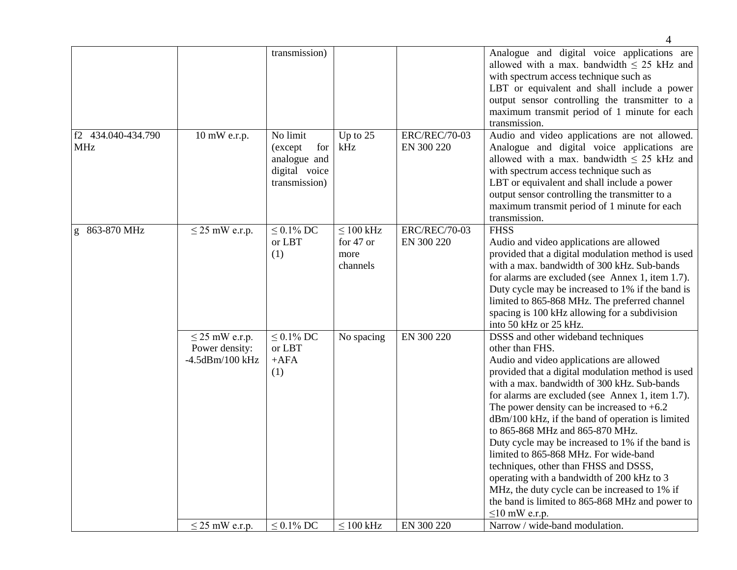|                                  |                                                                | transmission)                                                                |                                                 |                                    | Analogue and digital voice applications are<br>allowed with a max. bandwidth $\leq$ 25 kHz and<br>with spectrum access technique such as<br>LBT or equivalent and shall include a power<br>output sensor controlling the transmitter to a<br>maximum transmit period of 1 minute for each<br>transmission.                                                                                                                                                                                                                                                                                                                                                                                                      |
|----------------------------------|----------------------------------------------------------------|------------------------------------------------------------------------------|-------------------------------------------------|------------------------------------|-----------------------------------------------------------------------------------------------------------------------------------------------------------------------------------------------------------------------------------------------------------------------------------------------------------------------------------------------------------------------------------------------------------------------------------------------------------------------------------------------------------------------------------------------------------------------------------------------------------------------------------------------------------------------------------------------------------------|
| f2 434.040-434.790<br><b>MHz</b> | 10 mW e.r.p.                                                   | No limit<br>for<br>(except<br>analogue and<br>digital voice<br>transmission) | Up to $25$<br>kHz                               | <b>ERC/REC/70-03</b><br>EN 300 220 | Audio and video applications are not allowed.<br>Analogue and digital voice applications are<br>allowed with a max. bandwidth $\leq$ 25 kHz and<br>with spectrum access technique such as<br>LBT or equivalent and shall include a power<br>output sensor controlling the transmitter to a<br>maximum transmit period of 1 minute for each<br>transmission.                                                                                                                                                                                                                                                                                                                                                     |
| g 863-870 MHz                    | $\leq$ 25 mW e.r.p.                                            | $\leq 0.1\%$ DC<br>or LBT<br>(1)                                             | $\leq 100$ kHz<br>for 47 or<br>more<br>channels | <b>ERC/REC/70-03</b><br>EN 300 220 | <b>FHSS</b><br>Audio and video applications are allowed<br>provided that a digital modulation method is used<br>with a max. bandwidth of 300 kHz. Sub-bands<br>for alarms are excluded (see Annex 1, item 1.7).<br>Duty cycle may be increased to 1% if the band is<br>limited to 865-868 MHz. The preferred channel<br>spacing is 100 kHz allowing for a subdivision<br>into 50 kHz or 25 kHz.                                                                                                                                                                                                                                                                                                                 |
|                                  | $\leq$ 25 mW e.r.p.<br>Power density:<br>$-4.5$ d $Bm/100$ kHz | $\leq 0.1\%$ DC<br>or LBT<br>$+AFA$<br>(1)                                   | No spacing                                      | EN 300 220                         | DSSS and other wideband techniques<br>other than FHS.<br>Audio and video applications are allowed<br>provided that a digital modulation method is used<br>with a max. bandwidth of 300 kHz. Sub-bands<br>for alarms are excluded (see Annex 1, item 1.7).<br>The power density can be increased to $+6.2$<br>dBm/100 kHz, if the band of operation is limited<br>to 865-868 MHz and 865-870 MHz.<br>Duty cycle may be increased to 1% if the band is<br>limited to 865-868 MHz. For wide-band<br>techniques, other than FHSS and DSSS,<br>operating with a bandwidth of 200 kHz to 3<br>MHz, the duty cycle can be increased to 1% if<br>the band is limited to 865-868 MHz and power to<br>$\leq$ 10 mW e.r.p. |
|                                  | $\leq$ 25 mW e.r.p.                                            | $\leq 0.1\%$ DC                                                              | $\leq 100$ kHz                                  | EN 300 220                         | Narrow / wide-band modulation.                                                                                                                                                                                                                                                                                                                                                                                                                                                                                                                                                                                                                                                                                  |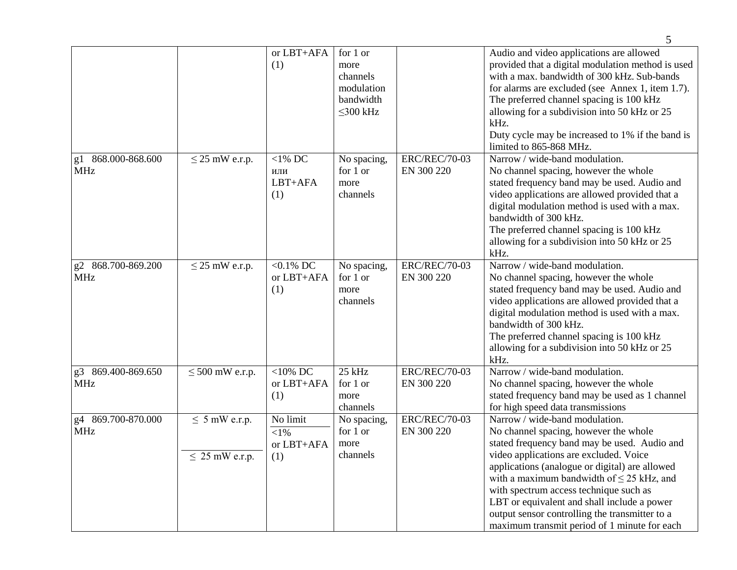|                                  |                                           | or LBT+AFA<br>(1)                         | for 1 or<br>more<br>channels<br>modulation<br>bandwidth<br>$\leq$ 300 kHz |                                    | Audio and video applications are allowed<br>provided that a digital modulation method is used<br>with a max. bandwidth of 300 kHz. Sub-bands<br>for alarms are excluded (see Annex 1, item 1.7).<br>The preferred channel spacing is 100 kHz<br>allowing for a subdivision into 50 kHz or 25<br>kHz.<br>Duty cycle may be increased to 1% if the band is<br>limited to 865-868 MHz.                                                                              |
|----------------------------------|-------------------------------------------|-------------------------------------------|---------------------------------------------------------------------------|------------------------------------|------------------------------------------------------------------------------------------------------------------------------------------------------------------------------------------------------------------------------------------------------------------------------------------------------------------------------------------------------------------------------------------------------------------------------------------------------------------|
| g1 868.000-868.600<br><b>MHz</b> | $\leq$ 25 mW e.r.p.                       | $<$ 1% DC<br>или<br>LBT+AFA<br>(1)        | No spacing,<br>for 1 or<br>more<br>channels                               | <b>ERC/REC/70-03</b><br>EN 300 220 | Narrow / wide-band modulation.<br>No channel spacing, however the whole<br>stated frequency band may be used. Audio and<br>video applications are allowed provided that a<br>digital modulation method is used with a max.<br>bandwidth of 300 kHz.<br>The preferred channel spacing is 100 kHz<br>allowing for a subdivision into 50 kHz or 25<br>kHz.                                                                                                          |
| g2 868.700-869.200<br>MHz        | $\leq$ 25 mW e.r.p.                       | $< 0.1\%$ DC<br>or LBT+AFA<br>(1)         | No spacing,<br>for 1 or<br>more<br>channels                               | <b>ERC/REC/70-03</b><br>EN 300 220 | Narrow / wide-band modulation.<br>No channel spacing, however the whole<br>stated frequency band may be used. Audio and<br>video applications are allowed provided that a<br>digital modulation method is used with a max.<br>bandwidth of 300 kHz.<br>The preferred channel spacing is 100 kHz<br>allowing for a subdivision into 50 kHz or 25<br>kHz.                                                                                                          |
| g3 869.400-869.650<br><b>MHz</b> | $\leq 500$ mW e.r.p.                      | $<$ 10% DC<br>or LBT+AFA<br>(1)           | 25 kHz<br>for 1 or<br>more<br>channels                                    | <b>ERC/REC/70-03</b><br>EN 300 220 | Narrow / wide-band modulation.<br>No channel spacing, however the whole<br>stated frequency band may be used as 1 channel<br>for high speed data transmissions                                                                                                                                                                                                                                                                                                   |
| g4 869.700-870.000<br><b>MHz</b> | $\leq$ 5 mW e.r.p.<br>$\leq$ 25 mW e.r.p. | No limit<br>${<}1\%$<br>or LBT+AFA<br>(1) | No spacing,<br>for 1 or<br>more<br>channels                               | <b>ERC/REC/70-03</b><br>EN 300 220 | Narrow / wide-band modulation.<br>No channel spacing, however the whole<br>stated frequency band may be used. Audio and<br>video applications are excluded. Voice<br>applications (analogue or digital) are allowed<br>with a maximum bandwidth of $\leq$ 25 kHz, and<br>with spectrum access technique such as<br>LBT or equivalent and shall include a power<br>output sensor controlling the transmitter to a<br>maximum transmit period of 1 minute for each |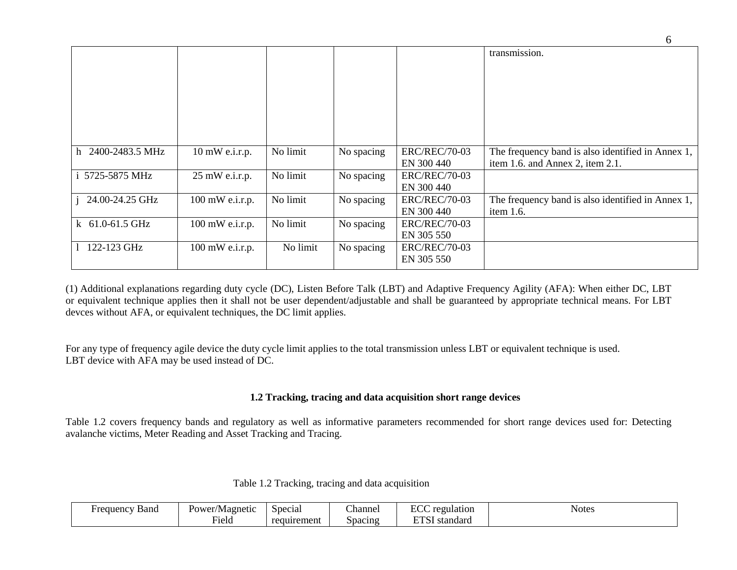|                     |                 |          |            |                      | transmission.                                     |
|---------------------|-----------------|----------|------------|----------------------|---------------------------------------------------|
|                     |                 |          |            |                      |                                                   |
|                     |                 |          |            |                      |                                                   |
|                     |                 |          |            |                      |                                                   |
|                     |                 |          |            |                      |                                                   |
|                     |                 |          |            |                      |                                                   |
|                     |                 |          |            |                      |                                                   |
|                     |                 |          |            |                      |                                                   |
|                     |                 |          |            |                      |                                                   |
|                     |                 |          |            |                      |                                                   |
| h 2400-2483.5 MHz   | 10 mW e.i.r.p.  | No limit | No spacing | <b>ERC/REC/70-03</b> | The frequency band is also identified in Annex 1, |
|                     |                 |          |            | EN 300 440           | item 1.6. and Annex 2, item 2.1.                  |
| i 5725-5875 MHz     | 25 mW e.i.r.p.  | No limit | No spacing | <b>ERC/REC/70-03</b> |                                                   |
|                     |                 |          |            | EN 300 440           |                                                   |
| 24.00-24.25 GHz     | 100 mW e.i.r.p. | No limit | No spacing | <b>ERC/REC/70-03</b> | The frequency band is also identified in Annex 1, |
|                     |                 |          |            | EN 300 440           | item 1.6.                                         |
| k $61.0 - 61.5$ GHz | 100 mW e.i.r.p. | No limit | No spacing | <b>ERC/REC/70-03</b> |                                                   |
|                     |                 |          |            | EN 305 550           |                                                   |
| 122-123 GHz         | 100 mW e.i.r.p. | No limit | No spacing | <b>ERC/REC/70-03</b> |                                                   |
|                     |                 |          |            | EN 305 550           |                                                   |

(1) Additional explanations regarding duty cycle (DC), Listen Before Talk (LBT) and Adaptive Frequency Agility (AFA): When either DC, LBT or equivalent technique applies then it shall not be user dependent/adjustable and shall be guaranteed by appropriate technical means. For LBT devces without AFA, or equivalent techniques, the DC limit applies.

For any type of frequency agile device the duty cycle limit applies to the total transmission unless LBT or equivalent technique is used. LBT device with AFA may be used instead of DC.

### **1.2 Tracking, tracing and data acquisition short range devices**

Table 1.2 covers frequency bands and regulatory as well as informative parameters recommended for short range devices used for: Detecting avalanche victims, Meter Reading and Asset Tracking and Tracing.

|  |  | Table 1.2 Tracking, tracing and data acquisition |
|--|--|--------------------------------------------------|
|  |  |                                                  |

| Band<br>Frequency | Power/Magnetic | Special     | $\sim$<br>∠hanne | ECC<br>regulation       | <b>Notes</b> |
|-------------------|----------------|-------------|------------------|-------------------------|--------------|
|                   | Fiela          | requirement | Spacing          | <b>DEAL</b><br>standard |              |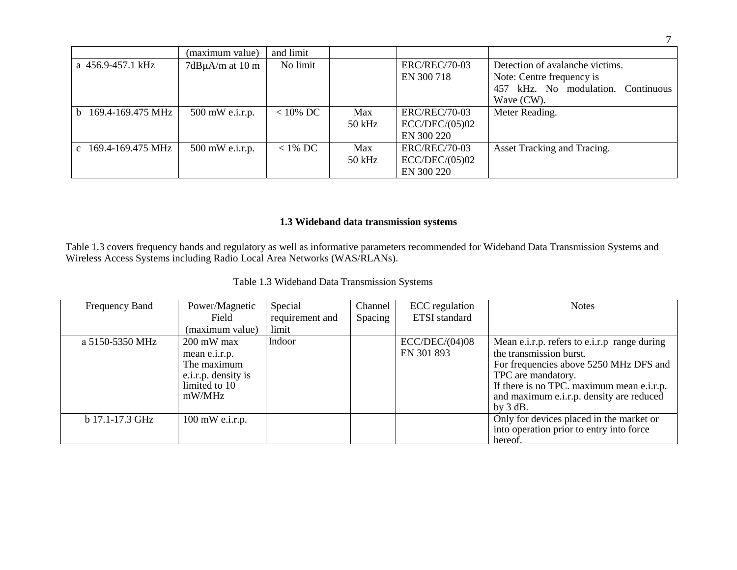|                                 | (maximum value)          | and limit  |        |                      |                                    |
|---------------------------------|--------------------------|------------|--------|----------------------|------------------------------------|
| a 456.9-457.1 kHz               | $7d$ B $\mu$ A/m at 10 m | No limit   |        | <b>ERC/REC/70-03</b> | Detection of avalanche victims.    |
|                                 |                          |            |        | EN 300 718           | Note: Centre frequency is          |
|                                 |                          |            |        |                      | 457 kHz. No modulation. Continuous |
|                                 |                          |            |        |                      | Wave (CW).                         |
| 169.4-169.475 MHz<br>h.         | $500$ mW e.i.r.p.        | $<$ 10% DC | Max    | <b>ERC/REC/70-03</b> | Meter Reading.                     |
|                                 |                          |            | 50 kHz | ECC/DEC/(05)02       |                                    |
|                                 |                          |            |        | EN 300 220           |                                    |
| c $169.4 - 169.475 \text{ MHz}$ | $500$ mW e.i.r.p.        | $<$ 1% DC  | Max    | <b>ERC/REC/70-03</b> | Asset Tracking and Tracing.        |
|                                 |                          |            | 50 kHz | ECC/DEC/(05)02       |                                    |
|                                 |                          |            |        | EN 300 220           |                                    |

## **1.3 Wideband data transmission systems**

Table 1.3 covers frequency bands and regulatory as well as informative parameters recommended for Wideband Data Transmission Systems and Wireless Access Systems including Radio Local Area Networks (WAS/RLANs).

|  | Table 1.3 Wideband Data Transmission Systems |  |  |
|--|----------------------------------------------|--|--|
|--|----------------------------------------------|--|--|

| Frequency Band  | Power/Magnetic      | Special         | Channel | ECC regulation       | <b>Notes</b>                                 |
|-----------------|---------------------|-----------------|---------|----------------------|----------------------------------------------|
|                 | Field               | requirement and | Spacing | <b>ETSI</b> standard |                                              |
|                 | (maximum value)     | limit           |         |                      |                                              |
| a 5150-5350 MHz | 200 mW max          | Indoor          |         | ECC/DEC/(04)08       | Mean e.i.r.p. refers to e.i.r.p range during |
|                 | mean e.i.r.p.       |                 |         | EN 301 893           | the transmission burst.                      |
|                 | The maximum         |                 |         |                      | For frequencies above 5250 MHz DFS and       |
|                 | e.i.r.p. density is |                 |         |                      | TPC are mandatory.                           |
|                 | limited to 10       |                 |         |                      | If there is no TPC. maximum mean e.i.r.p.    |
|                 | mW/MHz              |                 |         |                      | and maximum e.i.r.p. density are reduced     |
|                 |                     |                 |         |                      | by $3 dB$ .                                  |
| b 17.1-17.3 GHz | $100$ mW e.i.r.p.   |                 |         |                      | Only for devices placed in the market or     |
|                 |                     |                 |         |                      | into operation prior to entry into force     |
|                 |                     |                 |         |                      | hereof.                                      |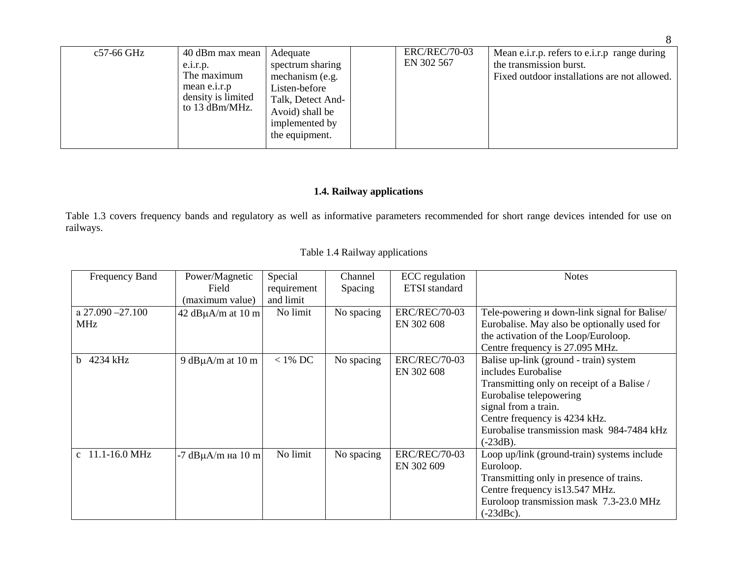| c57-66 GHz | 40 dBm max mean<br>e.i.r.p.<br>The maximum<br>mean e.i.r.p<br>density is limited<br>to 13 dBm/MHz. | Adequate<br>spectrum sharing<br>mechanism (e.g.<br>Listen-before<br>Talk, Detect And-<br>Avoid) shall be<br>implemented by<br>the equipment. |  | <b>ERC/REC/70-03</b><br>EN 302 567 | Mean e.i.r.p. refers to e.i.r.p range during<br>the transmission burst.<br>Fixed outdoor installations are not allowed. |
|------------|----------------------------------------------------------------------------------------------------|----------------------------------------------------------------------------------------------------------------------------------------------|--|------------------------------------|-------------------------------------------------------------------------------------------------------------------------|
|------------|----------------------------------------------------------------------------------------------------|----------------------------------------------------------------------------------------------------------------------------------------------|--|------------------------------------|-------------------------------------------------------------------------------------------------------------------------|

## **1.4. Railway applications**

Table 1.3 covers frequency bands and regulatory as well as informative parameters recommended for short range devices intended for use on railways.

|  |  |  | Table 1.4 Railway applications |
|--|--|--|--------------------------------|
|--|--|--|--------------------------------|

| <b>Frequency Band</b>       | Power/Magnetic          | Special     | Channel    | ECC regulation       | <b>Notes</b>                                 |
|-----------------------------|-------------------------|-------------|------------|----------------------|----------------------------------------------|
|                             | Field                   | requirement | Spacing    | ETSI standard        |                                              |
|                             | (maximum value)         | and limit   |            |                      |                                              |
| a $27.090 - 27.100$         | 42 dB $\mu$ A/m at 10 m | No limit    | No spacing | <b>ERC/REC/70-03</b> | Tele-powering u down-link signal for Balise/ |
| <b>MHz</b>                  |                         |             |            | EN 302 608           | Eurobalise. May also be optionally used for  |
|                             |                         |             |            |                      | the activation of the Loop/Euroloop.         |
|                             |                         |             |            |                      | Centre frequency is 27.095 MHz.              |
| b 4234 kHz                  | 9 dB $\mu$ A/m at 10 m  | $<$ 1% DC   | No spacing | <b>ERC/REC/70-03</b> | Balise up-link (ground - train) system       |
|                             |                         |             |            | EN 302 608           | includes Eurobalise                          |
|                             |                         |             |            |                      | Transmitting only on receipt of a Balise /   |
|                             |                         |             |            |                      | Eurobalise telepowering                      |
|                             |                         |             |            |                      | signal from a train.                         |
|                             |                         |             |            |                      | Centre frequency is 4234 kHz.                |
|                             |                         |             |            |                      | Eurobalise transmission mask 984-7484 kHz    |
|                             |                         |             |            |                      | $(-23dB)$ .                                  |
| c $11.1 - 16.0 \text{ MHz}$ | -7 $dB\mu A/m$ на 10 m  | No limit    | No spacing | <b>ERC/REC/70-03</b> | Loop up/link (ground-train) systems include  |
|                             |                         |             |            | EN 302 609           | Euroloop.                                    |
|                             |                         |             |            |                      | Transmitting only in presence of trains.     |
|                             |                         |             |            |                      | Centre frequency is 13.547 MHz.              |
|                             |                         |             |            |                      | Euroloop transmission mask 7.3-23.0 MHz      |
|                             |                         |             |            |                      | $(-23dBc).$                                  |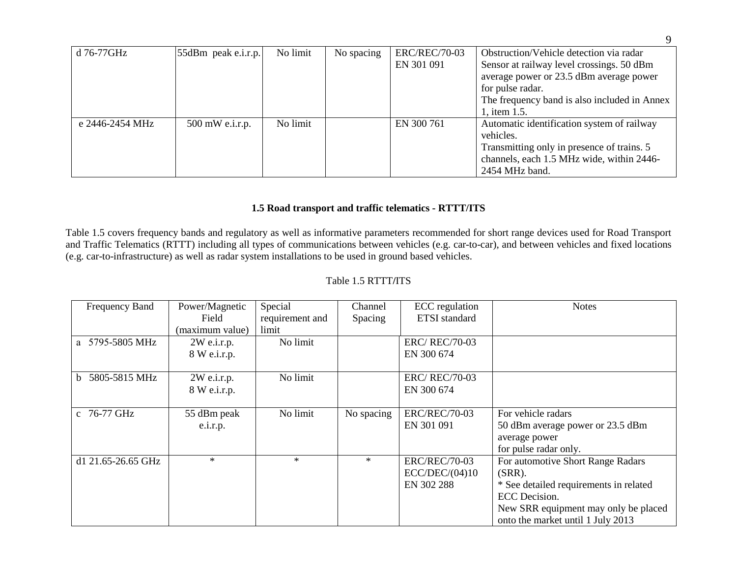| d 76-77GHz      | $ 55dBm$ peak e.i.r.p. | No limit | No spacing | <b>ERC/REC/70-03</b> | Obstruction/Vehicle detection via radar      |
|-----------------|------------------------|----------|------------|----------------------|----------------------------------------------|
|                 |                        |          |            | EN 301 091           | Sensor at railway level crossings. 50 dBm    |
|                 |                        |          |            |                      | average power or 23.5 dBm average power      |
|                 |                        |          |            |                      | for pulse radar.                             |
|                 |                        |          |            |                      | The frequency band is also included in Annex |
|                 |                        |          |            |                      | 1, item 1.5.                                 |
| e 2446-2454 MHz | $500$ mW e.i.r.p.      | No limit |            | EN 300 761           | Automatic identification system of railway   |
|                 |                        |          |            |                      | vehicles.                                    |
|                 |                        |          |            |                      | Transmitting only in presence of trains. 5   |
|                 |                        |          |            |                      | channels, each 1.5 MHz wide, within 2446-    |
|                 |                        |          |            |                      | 2454 MHz band.                               |

#### **1.5 Road transport and traffic telematics - RTTT/ITS**

Table 1.5 covers frequency bands and regulatory as well as informative parameters recommended for short range devices used for Road Transport and Traffic Telematics (RTTT) including all types of communications between vehicles (e.g. car-to-car), and between vehicles and fixed locations (e.g. car-to-infrastructure) as well as radar system installations to be used in ground based vehicles.

### Table 1.5 RTTT**/**ITS

| Frequency Band                | Power/Magnetic  | Special         | Channel    | ECC regulation       | <b>Notes</b>                           |
|-------------------------------|-----------------|-----------------|------------|----------------------|----------------------------------------|
|                               | Field           | requirement and | Spacing    | <b>ETSI</b> standard |                                        |
|                               | (maximum value) | limit           |            |                      |                                        |
| a 5795-5805 MHz               | $2W$ e.i.r.p.   | No limit        |            | <b>ERC/REC/70-03</b> |                                        |
|                               | 8 W e.i.r.p.    |                 |            | EN 300 674           |                                        |
|                               |                 |                 |            |                      |                                        |
| 5805-5815 MHz<br><sub>b</sub> | $2W$ e.i.r.p.   | No limit        |            | <b>ERC/REC/70-03</b> |                                        |
|                               | 8 W e.i.r.p.    |                 |            | EN 300 674           |                                        |
|                               |                 |                 |            |                      |                                        |
| c 76-77 GHz                   | 55 dBm peak     | No limit        | No spacing | <b>ERC/REC/70-03</b> | For vehicle radars                     |
|                               | e.i.r.p.        |                 |            | EN 301 091           | 50 dBm average power or 23.5 dBm       |
|                               |                 |                 |            |                      | average power                          |
|                               |                 |                 |            |                      | for pulse radar only.                  |
| d1 21.65-26.65 GHz            | $\ast$          | $\ast$          | $*$        | <b>ERC/REC/70-03</b> | For automotive Short Range Radars      |
|                               |                 |                 |            | ECC/DEC/(04)10       | $(SRR)$ .                              |
|                               |                 |                 |            | EN 302 288           | * See detailed requirements in related |
|                               |                 |                 |            |                      | <b>ECC</b> Decision.                   |
|                               |                 |                 |            |                      | New SRR equipment may only be placed   |
|                               |                 |                 |            |                      | onto the market until 1 July 2013      |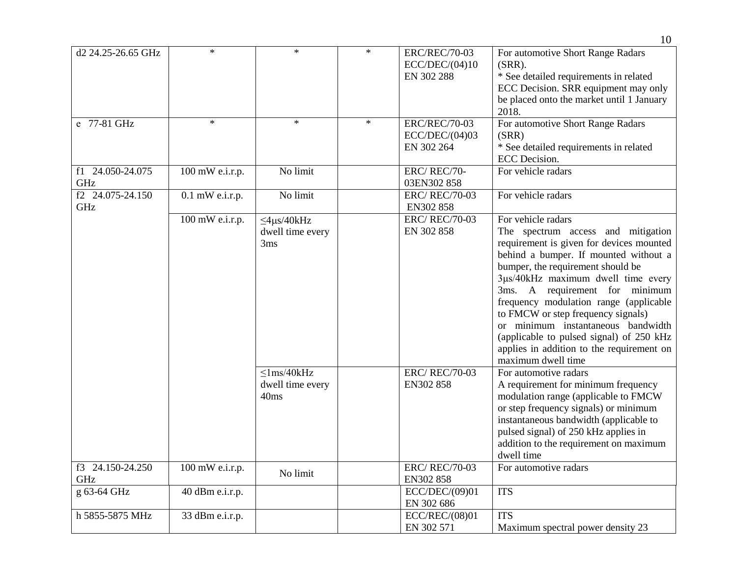|                         |                   |                                                                       |        |                                                            | 10                                                                                                                                                                                                                                                                                                                                                                                                                                                                                                                       |
|-------------------------|-------------------|-----------------------------------------------------------------------|--------|------------------------------------------------------------|--------------------------------------------------------------------------------------------------------------------------------------------------------------------------------------------------------------------------------------------------------------------------------------------------------------------------------------------------------------------------------------------------------------------------------------------------------------------------------------------------------------------------|
| d2 24.25-26.65 GHz      | $\star$           | $\ast$                                                                | $*$    | <b>ERC/REC/70-03</b><br>ECC/DEC/(04)10<br>EN 302 288       | For automotive Short Range Radars<br>$(SRR)$ .<br>* See detailed requirements in related<br>ECC Decision. SRR equipment may only<br>be placed onto the market until 1 January<br>2018.                                                                                                                                                                                                                                                                                                                                   |
| e 77-81 GHz             | $\ast$            | $\ast$                                                                | $\ast$ | <b>ERC/REC/70-03</b><br>ECC/DEC/(04)03<br>EN 302 264       | For automotive Short Range Radars<br>(SRR)<br>* See detailed requirements in related<br><b>ECC</b> Decision.                                                                                                                                                                                                                                                                                                                                                                                                             |
| f1 24.050-24.075<br>GHz | 100 mW e.i.r.p.   | No limit                                                              |        | ERC/REC/70-<br>03EN302 858                                 | For vehicle radars                                                                                                                                                                                                                                                                                                                                                                                                                                                                                                       |
| f2 24.075-24.150<br>GHz | $0.1$ mW e.i.r.p. | No limit                                                              |        | <b>ERC/REC/70-03</b><br>EN302 858                          | For vehicle radars                                                                                                                                                                                                                                                                                                                                                                                                                                                                                                       |
|                         | 100 mW e.i.r.p.   | $\leq$ 4 $\mu$ s/40kHz<br>dwell time every<br>3ms<br>$\leq$ 1ms/40kHz |        | <b>ERC/REC/70-03</b><br>EN 302 858<br><b>ERC/REC/70-03</b> | For vehicle radars<br>The spectrum access and mitigation<br>requirement is given for devices mounted<br>behind a bumper. If mounted without a<br>bumper, the requirement should be<br>3µs/40kHz maximum dwell time every<br>3ms. A requirement for minimum<br>frequency modulation range (applicable<br>to FMCW or step frequency signals)<br>or minimum instantaneous bandwidth<br>(applicable to pulsed signal) of 250 kHz<br>applies in addition to the requirement on<br>maximum dwell time<br>For automotive radars |
|                         |                   | dwell time every<br>40ms                                              |        | EN302 858                                                  | A requirement for minimum frequency<br>modulation range (applicable to FMCW<br>or step frequency signals) or minimum<br>instantaneous bandwidth (applicable to<br>pulsed signal) of 250 kHz applies in<br>addition to the requirement on maximum<br>dwell time                                                                                                                                                                                                                                                           |
| f3 24.150-24.250<br>GHz | $100$ mW e.i.r.p. | No limit                                                              |        | <b>ERC/REC/70-03</b><br>EN302 858                          | For automotive radars                                                                                                                                                                                                                                                                                                                                                                                                                                                                                                    |
| g 63-64 GHz             | 40 dBm e.i.r.p.   |                                                                       |        | ECC/DEC/(09)01<br>EN 302 686                               | <b>ITS</b>                                                                                                                                                                                                                                                                                                                                                                                                                                                                                                               |
| h 5855-5875 MHz         | 33 dBm e.i.r.p.   |                                                                       |        | ECC/REC/(08)01<br>EN 302 571                               | <b>ITS</b><br>Maximum spectral power density 23                                                                                                                                                                                                                                                                                                                                                                                                                                                                          |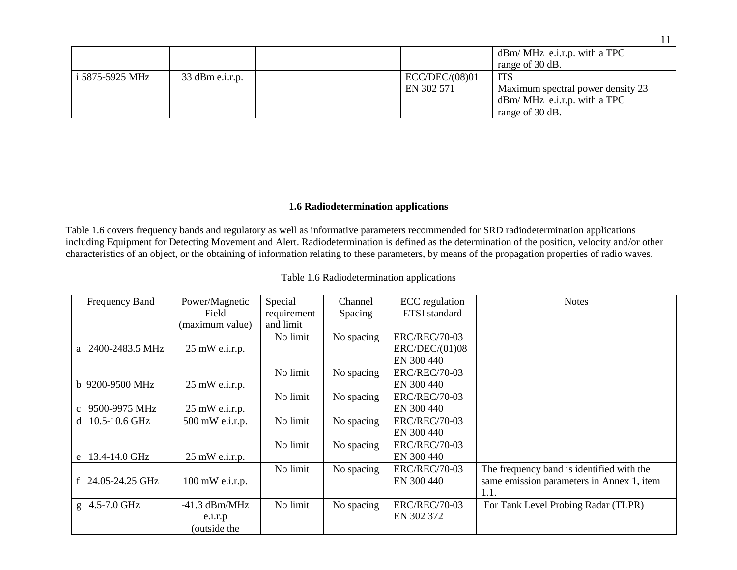|                 |                   |  |                              | $dBm/MHz$ e.i.r.p. with a TPC<br>range of 30 dB.                                                    |
|-----------------|-------------------|--|------------------------------|-----------------------------------------------------------------------------------------------------|
| i 5875-5925 MHz | $33$ dBm e.i.r.p. |  | ECC/DEC/(08)01<br>EN 302 571 | <b>ITS</b><br>Maximum spectral power density 23<br>$dBm/MHz$ e.i.r.p. with a TPC<br>range of 30 dB. |

### **1.6 Radiodetermination applications**

Table 1.6 covers frequency bands and regulatory as well as informative parameters recommended for SRD radiodetermination applications including Equipment for Detecting Movement and Alert. Radiodetermination is defined as the determination of the position, velocity and/or other characteristics of an object, or the obtaining of information relating to these parameters, by means of the propagation properties of radio waves.

| Frequency Band        | Power/Magnetic           | Special     | Channel    | <b>ECC</b> regulation | <b>Notes</b>                              |
|-----------------------|--------------------------|-------------|------------|-----------------------|-------------------------------------------|
|                       | Field                    | requirement | Spacing    | <b>ETSI</b> standard  |                                           |
|                       | (maximum value)          | and limit   |            |                       |                                           |
|                       |                          | No limit    | No spacing | <b>ERC/REC/70-03</b>  |                                           |
| a 2400-2483.5 MHz     | $25 \text{ mW}$ e.i.r.p. |             |            | ERC/DEC/(01)08        |                                           |
|                       |                          |             |            | EN 300 440            |                                           |
|                       |                          | No limit    | No spacing | <b>ERC/REC/70-03</b>  |                                           |
| b 9200-9500 MHz       | $25 \text{ mW}$ e.i.r.p. |             |            | EN 300 440            |                                           |
|                       |                          | No limit    | No spacing | <b>ERC/REC/70-03</b>  |                                           |
| c 9500-9975 MHz       | $25 \text{ mW}$ e.i.r.p. |             |            | EN 300 440            |                                           |
| 10.5-10.6 GHz<br>d    | 500 mW e.i.r.p.          | No limit    | No spacing | <b>ERC/REC/70-03</b>  |                                           |
|                       |                          |             |            | EN 300 440            |                                           |
|                       |                          | No limit    | No spacing | <b>ERC/REC/70-03</b>  |                                           |
| e 13.4-14.0 GHz       | $25 \text{ mW}$ e.i.r.p. |             |            | EN 300 440            |                                           |
|                       |                          | No limit    | No spacing | <b>ERC/REC/70-03</b>  | The frequency band is identified with the |
| f $24.05 - 24.25$ GHz | 100 mW e.i.r.p.          |             |            | EN 300 440            | same emission parameters in Annex 1, item |
|                       |                          |             |            |                       | 1.1.                                      |
| g 4.5-7.0 GHz         | $-41.3$ dBm/MHz          | No limit    | No spacing | <b>ERC/REC/70-03</b>  | For Tank Level Probing Radar (TLPR)       |
|                       | e.i.r.p                  |             |            | EN 302 372            |                                           |
|                       | (outside the             |             |            |                       |                                           |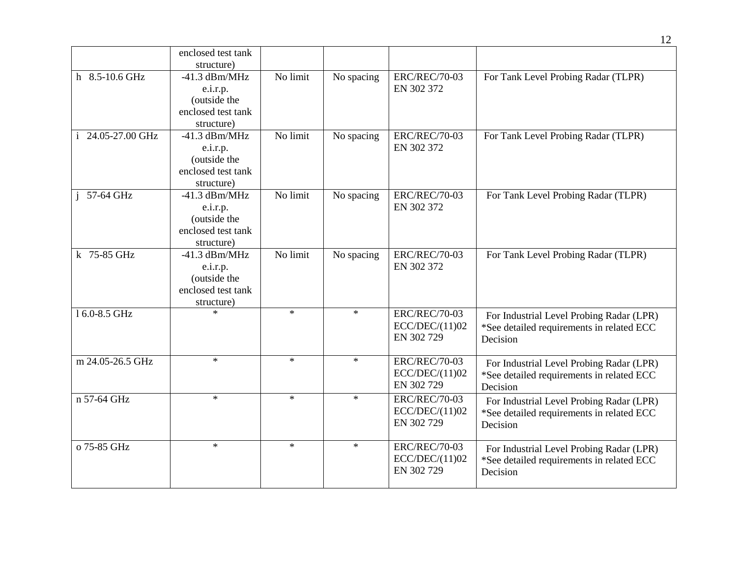|                   | enclosed test tank<br>structure)                                                |          |            |                                                      |                                                                                                   |
|-------------------|---------------------------------------------------------------------------------|----------|------------|------------------------------------------------------|---------------------------------------------------------------------------------------------------|
| h 8.5-10.6 GHz    | $-41.3$ dBm/MHz<br>e.i.r.p.<br>(outside the<br>enclosed test tank<br>structure) | No limit | No spacing | <b>ERC/REC/70-03</b><br>EN 302 372                   | For Tank Level Probing Radar (TLPR)                                                               |
| i 24.05-27.00 GHz | $-41.3$ dBm/MHz<br>e.i.r.p.<br>(outside the<br>enclosed test tank<br>structure) | No limit | No spacing | <b>ERC/REC/70-03</b><br>EN 302 372                   | For Tank Level Probing Radar (TLPR)                                                               |
| $i$ 57-64 GHz     | $-41.3$ dBm/MHz<br>e.i.r.p.<br>(outside the<br>enclosed test tank<br>structure) | No limit | No spacing | <b>ERC/REC/70-03</b><br>EN 302 372                   | For Tank Level Probing Radar (TLPR)                                                               |
| k 75-85 GHz       | $-41.3$ dBm/MHz<br>e.i.r.p.<br>(outside the<br>enclosed test tank<br>structure) | No limit | No spacing | <b>ERC/REC/70-03</b><br>EN 302 372                   | For Tank Level Probing Radar (TLPR)                                                               |
| 16.0-8.5 GHz      | $\ast$                                                                          | $\ast$   | $\ast$     | <b>ERC/REC/70-03</b><br>ECC/DEC/(11)02<br>EN 302 729 | For Industrial Level Probing Radar (LPR)<br>*See detailed requirements in related ECC<br>Decision |
| m 24.05-26.5 GHz  | $\star$                                                                         | $\ast$   | $\ast$     | <b>ERC/REC/70-03</b><br>ECC/DEC/(11)02<br>EN 302 729 | For Industrial Level Probing Radar (LPR)<br>*See detailed requirements in related ECC<br>Decision |
| n 57-64 GHz       | $\ast$                                                                          | $\ast$   | $\ast$     | <b>ERC/REC/70-03</b><br>ECC/DEC/(11)02<br>EN 302 729 | For Industrial Level Probing Radar (LPR)<br>*See detailed requirements in related ECC<br>Decision |
| o 75-85 GHz       | $\ast$                                                                          | $\ast$   | $\ast$     | <b>ERC/REC/70-03</b><br>ECC/DEC/(11)02<br>EN 302 729 | For Industrial Level Probing Radar (LPR)<br>*See detailed requirements in related ECC<br>Decision |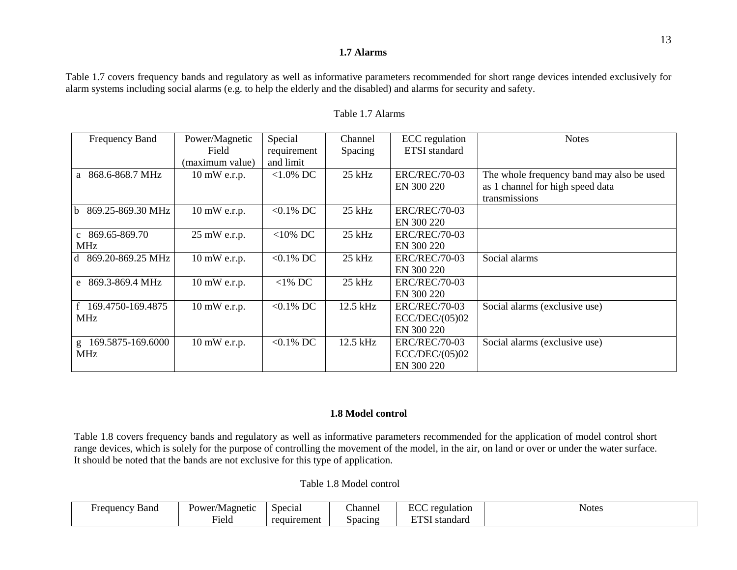#### **1.7 Alarms**

Table 1.7 covers frequency bands and regulatory as well as informative parameters recommended for short range devices intended exclusively for alarm systems including social alarms (e.g. to help the elderly and the disabled) and alarms for security and safety.

| Frequency Band                   | Power/Magnetic<br>Field | Special<br>requirement | Channel<br>Spacing | ECC regulation<br><b>ETSI</b> standard | <b>Notes</b>                              |
|----------------------------------|-------------------------|------------------------|--------------------|----------------------------------------|-------------------------------------------|
|                                  | (maximum value)         | and limit              |                    |                                        |                                           |
| 868.6-868.7 MHz<br>a             | $10 \text{ mW}$ e.r.p.  | $<1.0\%$ DC            | 25 kHz             | <b>ERC/REC/70-03</b>                   | The whole frequency band may also be used |
|                                  |                         |                        |                    | EN 300 220                             | as 1 channel for high speed data          |
|                                  |                         |                        |                    |                                        | transmissions                             |
| 869.25-869.30 MHz<br>$\mathbf b$ | 10 mW e.r.p.            | $< 0.1\%$ DC           | 25 kHz             | <b>ERC/REC/70-03</b>                   |                                           |
|                                  |                         |                        |                    | EN 300 220                             |                                           |
| c $869.65 - 869.70$              | 25 mW e.r.p.            | $<$ 10% DC             | $25$ kHz           | <b>ERC/REC/70-03</b>                   |                                           |
| <b>MHz</b>                       |                         |                        |                    | EN 300 220                             |                                           |
| d 869.20-869.25 MHz              | 10 mW e.r.p.            | $< 0.1\%$ DC           | $25$ kHz           | <b>ERC/REC/70-03</b>                   | Social alarms                             |
|                                  |                         |                        |                    | EN 300 220                             |                                           |
| e 869.3-869.4 MHz                | 10 mW e.r.p.            | $<$ 1% DC              | $25$ kHz           | <b>ERC/REC/70-03</b>                   |                                           |
|                                  |                         |                        |                    | EN 300 220                             |                                           |
| f 169.4750-169.4875              | $10 \text{ mW}$ e.r.p.  | $< 0.1\%$ DC           | 12.5 kHz           | <b>ERC/REC/70-03</b>                   | Social alarms (exclusive use)             |
| <b>MHz</b>                       |                         |                        |                    | ECC/DEC/(05)02                         |                                           |
|                                  |                         |                        |                    | EN 300 220                             |                                           |
| 169.5875-169.6000<br>g           | 10 mW e.r.p.            | $< 0.1\%$ DC           | 12.5 kHz           | <b>ERC/REC/70-03</b>                   | Social alarms (exclusive use)             |
| MHz                              |                         |                        |                    | ECC/DEC/(05)02                         |                                           |
|                                  |                         |                        |                    | EN 300 220                             |                                           |

#### Table 1.7 Alarms

### **1.8 Model control**

Table 1.8 covers frequency bands and regulatory as well as informative parameters recommended for the application of model control short range devices, which is solely for the purpose of controlling the movement of the model, in the air, on land or over or under the water surface. It should be noted that the bands are not exclusive for this type of application.

Table 1.8 Model control

| Band<br><b>Frequency</b> | Power/Magnetic | Special     | ~·<br>∠hannel | $\mathbf{r} \cap \mathbf{r}$<br>regulation<br>⊷ | Notes<br>. |
|--------------------------|----------------|-------------|---------------|-------------------------------------------------|------------|
|                          | $-1$<br>Held   | requirement | Spacing       | <b>DDO</b><br>standard                          |            |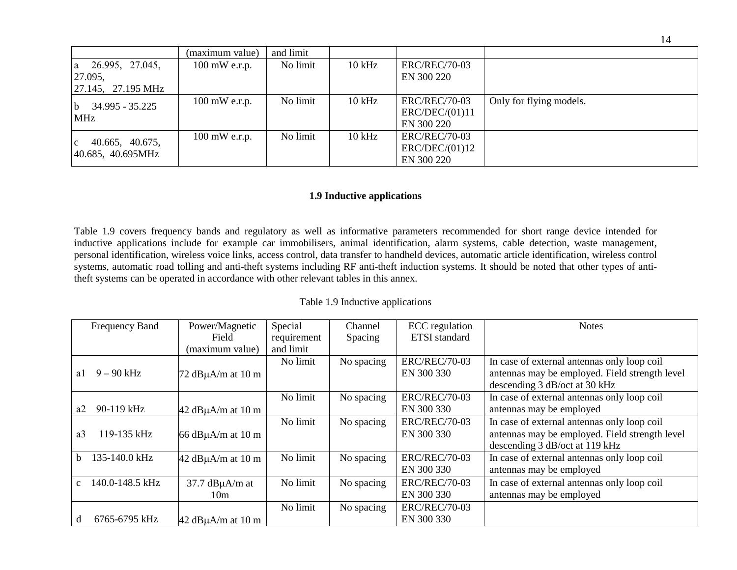|                                            | (maximum value)         | and limit |          |                      |                         |
|--------------------------------------------|-------------------------|-----------|----------|----------------------|-------------------------|
| 26.995, 27.045,<br>a                       | $100 \text{ mW}$ e.r.p. | No limit  | $10$ kHz | <b>ERC/REC/70-03</b> |                         |
| 27.095,                                    |                         |           |          | EN 300 220           |                         |
| $\left  \frac{27.145}{27.195} \right $ MHz |                         |           |          |                      |                         |
| 34.995 - 35.225<br>b<br><b>MHz</b>         | $100$ mW e.r.p.         | No limit  | $10$ kHz | <b>ERC/REC/70-03</b> | Only for flying models. |
|                                            |                         |           |          | ERC/DEC/(01)11       |                         |
|                                            |                         |           |          | EN 300 220           |                         |
| 40.665, 40.675,<br>$\mathbf{c}$            | $100$ mW e.r.p.         | No limit  | $10$ kHz | <b>ERC/REC/70-03</b> |                         |
|                                            |                         |           |          | ERC/DEC/(01)12       |                         |
| $ 40.685, 40.695$ MHz                      |                         |           |          | EN 300 220           |                         |

#### **1.9 Inductive applications**

Table 1.9 covers frequency bands and regulatory as well as informative parameters recommended for short range device intended for inductive applications include for example car immobilisers, animal identification, alarm systems, cable detection, waste management, personal identification, wireless voice links, access control, data transfer to handheld devices, automatic article identification, wireless control systems, automatic road tolling and anti-theft systems including RF anti-theft induction systems. It should be noted that other types of antitheft systems can be operated in accordance with other relevant tables in this annex.

| Frequency Band                   | Power/Magnetic                            | Special     | Channel    | <b>ECC</b> regulation              | <b>Notes</b>                                                                                                                    |
|----------------------------------|-------------------------------------------|-------------|------------|------------------------------------|---------------------------------------------------------------------------------------------------------------------------------|
|                                  | Field                                     | requirement | Spacing    | <b>ETSI</b> standard               |                                                                                                                                 |
|                                  | (maximum value)                           | and limit   |            |                                    |                                                                                                                                 |
| $9 - 90$ kHz<br>a1               | $72$ dB $\mu$ A/m at 10 m                 | No limit    | No spacing | <b>ERC/REC/70-03</b><br>EN 300 330 | In case of external antennas only loop coil<br>antennas may be employed. Field strength level<br>descending 3 dB/oct at 30 kHz  |
|                                  |                                           | No limit    | No spacing | <b>ERC/REC/70-03</b>               | In case of external antennas only loop coil                                                                                     |
| 90-119 kHz<br>a2                 | $42$ dB $\mu$ A/m at 10 m                 |             |            | EN 300 330                         | antennas may be employed                                                                                                        |
| 119-135 kHz<br>a <sub>3</sub>    | 66 $dB\mu A/m$ at 10 m                    | No limit    | No spacing | <b>ERC/REC/70-03</b><br>EN 300 330 | In case of external antennas only loop coil<br>antennas may be employed. Field strength level<br>descending 3 dB/oct at 119 kHz |
| 135-140.0 kHz<br>h.              | $42$ dB $\mu$ A/m at 10 m                 | No limit    | No spacing | <b>ERC/REC/70-03</b><br>EN 300 330 | In case of external antennas only loop coil<br>antennas may be employed                                                         |
| 140.0-148.5 kHz<br>$\mathcal{C}$ | $37.7$ dB $\mu$ A/m at<br>10 <sub>m</sub> | No limit    | No spacing | <b>ERC/REC/70-03</b><br>EN 300 330 | In case of external antennas only loop coil<br>antennas may be employed                                                         |
| 6765-6795 kHz<br>d               | $42$ dB $\mu$ A/m at 10 m                 | No limit    | No spacing | <b>ERC/REC/70-03</b><br>EN 300 330 |                                                                                                                                 |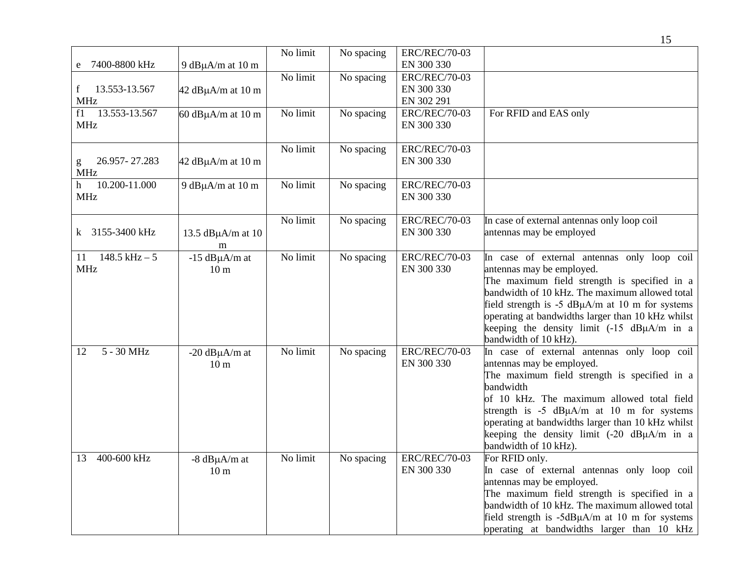|                                             |                                          |          |            |                                                  | 15                                                                                                                                                                                                                                                                                                                                                                                      |
|---------------------------------------------|------------------------------------------|----------|------------|--------------------------------------------------|-----------------------------------------------------------------------------------------------------------------------------------------------------------------------------------------------------------------------------------------------------------------------------------------------------------------------------------------------------------------------------------------|
|                                             |                                          | No limit | No spacing | <b>ERC/REC/70-03</b>                             |                                                                                                                                                                                                                                                                                                                                                                                         |
| 7400-8800 kHz<br>e                          | 9 dB $\mu$ A/m at 10 m                   |          |            | EN 300 330                                       |                                                                                                                                                                                                                                                                                                                                                                                         |
| 13.553-13.567<br>$\mathbf{f}$<br><b>MHz</b> | $42$ dB $\mu$ A/m at 10 m                | No limit | No spacing | <b>ERC/REC/70-03</b><br>EN 300 330<br>EN 302 291 |                                                                                                                                                                                                                                                                                                                                                                                         |
| 13.553-13.567<br>f1<br><b>MHz</b>           | $60$ dB $\mu$ A/m at 10 m                | No limit | No spacing | <b>ERC/REC/70-03</b><br>EN 300 330               | For RFID and EAS only                                                                                                                                                                                                                                                                                                                                                                   |
| 26.957-27.283<br>g<br><b>MHz</b>            | $42$ dB $\mu$ A/m at 10 m                | No limit | No spacing | <b>ERC/REC/70-03</b><br>EN 300 330               |                                                                                                                                                                                                                                                                                                                                                                                         |
| 10.200-11.000<br>h<br><b>MHz</b>            | 9 dB $\mu$ A/m at 10 m                   | No limit | No spacing | <b>ERC/REC/70-03</b><br>EN 300 330               |                                                                                                                                                                                                                                                                                                                                                                                         |
| 3155-3400 kHz<br>$\bf k$                    | 13.5 $dB\mu A/m$ at 10<br>m              | No limit | No spacing | <b>ERC/REC/70-03</b><br>EN 300 330               | In case of external antennas only loop coil<br>antennas may be employed                                                                                                                                                                                                                                                                                                                 |
| $148.5$ kHz $-5$<br>11<br><b>MHz</b>        | $-15$ dB $\mu$ A/m at<br>10 <sub>m</sub> | No limit | No spacing | <b>ERC/REC/70-03</b><br>EN 300 330               | In case of external antennas only loop coil<br>antennas may be employed.<br>The maximum field strength is specified in a<br>bandwidth of 10 kHz. The maximum allowed total<br>field strength is -5 dBµA/m at 10 m for systems<br>operating at bandwidths larger than 10 kHz whilst<br>keeping the density limit (-15 dBµA/m in a<br>bandwidth of 10 kHz).                               |
| 5 - 30 MHz<br>12                            | $-20$ dB $\mu$ A/m at<br>10 <sub>m</sub> | No limit | No spacing | <b>ERC/REC/70-03</b><br>EN 300 330               | In case of external antennas only loop coil<br>antennas may be employed.<br>The maximum field strength is specified in a<br>bandwidth<br>of 10 kHz. The maximum allowed total field<br>strength is $-5$ dB $\mu$ A/m at 10 m for systems<br>operating at bandwidths larger than 10 kHz whilst<br>keeping the density limit $(-20 \text{ dB}\mu\text{A/m}$ in a<br>bandwidth of 10 kHz). |
| 400-600 kHz<br>13                           | $-8$ dB $\mu$ A/m at<br>10 <sub>m</sub>  | No limit | No spacing | <b>ERC/REC/70-03</b><br>EN 300 330               | For RFID only.<br>In case of external antennas only loop coil<br>antennas may be employed.<br>The maximum field strength is specified in a<br>bandwidth of 10 kHz. The maximum allowed total<br>field strength is $-5dB\mu A/m$ at 10 m for systems<br>operating at bandwidths larger than 10 kHz                                                                                       |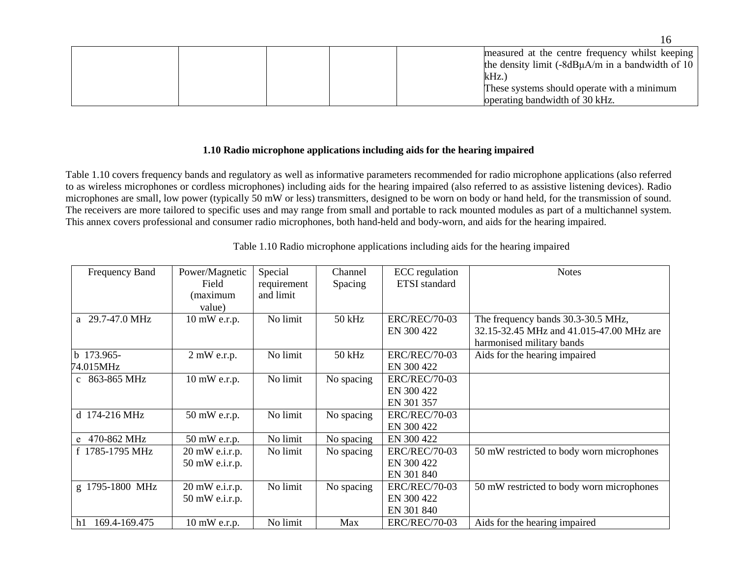|  | measured at the centre frequency whilst keeping        |
|--|--------------------------------------------------------|
|  | the density limit $(-8dB\mu A/m)$ in a bandwidth of 10 |
|  | kHz.                                                   |
|  | These systems should operate with a minimum            |
|  | operating bandwidth of 30 kHz.                         |

#### **1.10 Radio microphone applications including aids for the hearing impaired**

Table 1.10 covers frequency bands and regulatory as well as informative parameters recommended for radio microphone applications (also referred to as wireless microphones or cordless microphones) including aids for the hearing impaired (also referred to as assistive listening devices). Radio microphones are small, low power (typically 50 mW or less) transmitters, designed to be worn on body or hand held, for the transmission of sound. The receivers are more tailored to specific uses and may range from small and portable to rack mounted modules as part of a multichannel system. This annex covers professional and consumer radio microphones, both hand-held and body-worn, and aids for the hearing impaired.

| Frequency Band          | Power/Magnetic<br>Field<br>(maximum | Special<br>requirement<br>and limit | Channel<br>Spacing | <b>ECC</b> regulation<br><b>ETSI</b> standard    | <b>Notes</b>                                                                                                |
|-------------------------|-------------------------------------|-------------------------------------|--------------------|--------------------------------------------------|-------------------------------------------------------------------------------------------------------------|
|                         | value)                              |                                     |                    |                                                  |                                                                                                             |
| a 29.7-47.0 MHz         | $10 \text{ mW}$ e.r.p.              | No limit                            | $50$ kHz           | <b>ERC/REC/70-03</b><br>EN 300 422               | The frequency bands 30.3-30.5 MHz,<br>32.15-32.45 MHz and 41.015-47.00 MHz are<br>harmonised military bands |
| b 173.965-<br>74.015MHz | $2$ mW e.r.p.                       | No limit                            | $50$ kHz           | <b>ERC/REC/70-03</b><br>EN 300 422               | Aids for the hearing impaired                                                                               |
| c 863-865 MHz           | $10 \text{ mW}$ e.r.p.              | No limit                            | No spacing         | <b>ERC/REC/70-03</b><br>EN 300 422<br>EN 301 357 |                                                                                                             |
| d 174-216 MHz           | 50 mW e.r.p.                        | No limit                            | No spacing         | <b>ERC/REC/70-03</b><br>EN 300 422               |                                                                                                             |
| e 470-862 MHz           | 50 mW e.r.p.                        | No limit                            | No spacing         | EN 300 422                                       |                                                                                                             |
| f 1785-1795 MHz         | $20$ mW e.i.r.p.<br>50 mW e.i.r.p.  | No limit                            | No spacing         | <b>ERC/REC/70-03</b><br>EN 300 422<br>EN 301 840 | 50 mW restricted to body worn microphones                                                                   |
| g 1795-1800 MHz         | $20$ mW e.i.r.p.<br>50 mW e.i.r.p.  | No limit                            | No spacing         | <b>ERC/REC/70-03</b><br>EN 300 422<br>EN 301 840 | 50 mW restricted to body worn microphones                                                                   |
| 169.4-169.475<br>h1     | $10 \text{ mW}$ e.r.p.              | No limit                            | Max                | <b>ERC/REC/70-03</b>                             | Aids for the hearing impaired                                                                               |

Table 1.10 Radio microphone applications including aids for the hearing impaired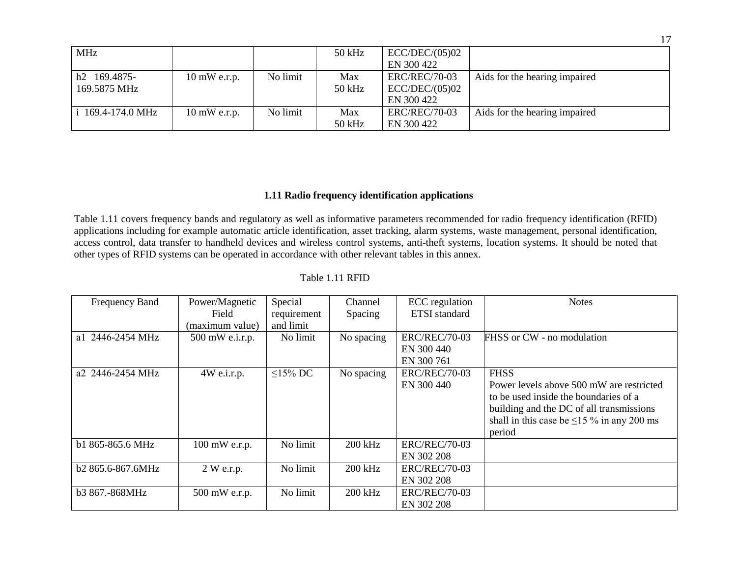|                               |                        |          |          |                      | 17                            |
|-------------------------------|------------------------|----------|----------|----------------------|-------------------------------|
| <b>MHz</b>                    |                        |          | $50$ kHz | ECC/DEC/(05)02       |                               |
|                               |                        |          |          | EN 300 422           |                               |
| 169.4875-<br>h2               | $10 \text{ mW}$ e.r.p. | No limit | Max      | <b>ERC/REC/70-03</b> | Aids for the hearing impaired |
| 169.5875 MHz                  |                        |          | 50 kHz   | ECC/DEC/(05)02       |                               |
|                               |                        |          |          | EN 300 422           |                               |
| i $169.4 - 174.0 \text{ MHz}$ | $10 \text{ mW}$ e.r.p. | No limit | Max      | <b>ERC/REC/70-03</b> | Aids for the hearing impaired |
|                               |                        |          | $50$ kHz | EN 300 422           |                               |

### **1.11 Radio frequency identification applications**

Table 1.11 covers frequency bands and regulatory as well as informative parameters recommended for radio frequency identification (RFID) applications including for example automatic article identification, asset tracking, alarm systems, waste management, personal identification, access control, data transfer to handheld devices and wireless control systems, anti-theft systems, location systems. It should be noted that other types of RFID systems can be operated in accordance with other relevant tables in this annex.

| Frequency Band      | Power/Magnetic       | Special       | Channel    | ECC regulation       | <b>Notes</b>                                    |
|---------------------|----------------------|---------------|------------|----------------------|-------------------------------------------------|
|                     | Field                | requirement   | Spacing    | <b>ETSI</b> standard |                                                 |
|                     | (maximum value)      | and limit     |            |                      |                                                 |
| 2446-2454 MHz<br>a1 | 500 mW e.i.r.p.      | No limit      | No spacing | <b>ERC/REC/70-03</b> | FHSS or CW - no modulation                      |
|                     |                      |               |            | EN 300 440           |                                                 |
|                     |                      |               |            | EN 300 761           |                                                 |
| a2 2446-2454 MHz    | $4W$ e.i.r.p.        | $\leq$ 15% DC | No spacing | <b>ERC/REC/70-03</b> | <b>FHSS</b>                                     |
|                     |                      |               |            | EN 300 440           | Power levels above 500 mW are restricted        |
|                     |                      |               |            |                      | to be used inside the boundaries of a           |
|                     |                      |               |            |                      | building and the DC of all transmissions        |
|                     |                      |               |            |                      | shall in this case be $\leq$ 15 % in any 200 ms |
|                     |                      |               |            |                      | period                                          |
| b1 865-865.6 MHz    | 100 mW e.r.p.        | No limit      | 200 kHz    | <b>ERC/REC/70-03</b> |                                                 |
|                     |                      |               |            | EN 302 208           |                                                 |
| b2 865.6-867.6MHz   | $2 \text{ W}$ e.r.p. | No limit      | $200$ kHz  | <b>ERC/REC/70-03</b> |                                                 |
|                     |                      |               |            | EN 302 208           |                                                 |
| b3 867.-868MHz      | 500 mW e.r.p.        | No limit      | 200 kHz    | <b>ERC/REC/70-03</b> |                                                 |
|                     |                      |               |            | EN 302 208           |                                                 |

### Table 1.11 RFID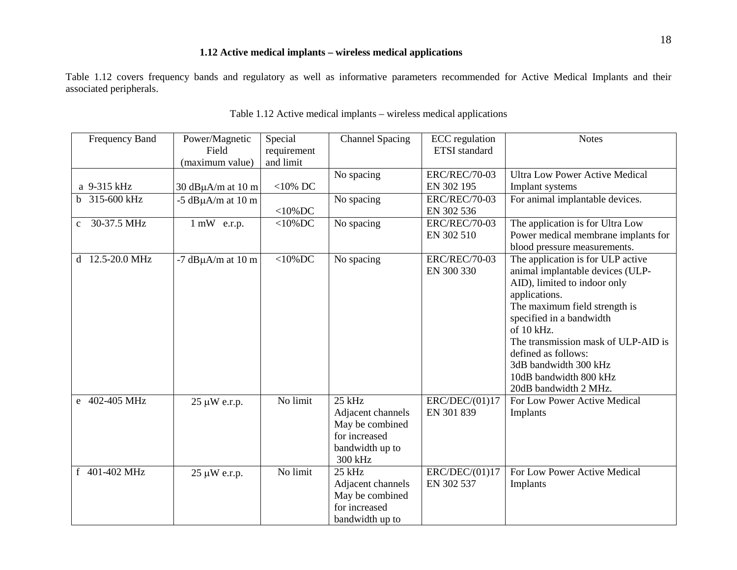### **1.12 Active medical implants – wireless medical applications**

Table 1.12 covers frequency bands and regulatory as well as informative parameters recommended for Active Medical Implants and their associated peripherals.

| <b>Frequency Band</b>       | Power/Magnetic<br>Field   | Special<br>requirement | <b>Channel Spacing</b> | <b>ECC</b> regulation<br><b>ETSI</b> standard | <b>Notes</b>                          |
|-----------------------------|---------------------------|------------------------|------------------------|-----------------------------------------------|---------------------------------------|
|                             | (maximum value)           | and limit              |                        |                                               |                                       |
|                             |                           |                        | No spacing             | <b>ERC/REC/70-03</b>                          | <b>Ultra Low Power Active Medical</b> |
| a 9-315 kHz                 | 30 $dB\mu A/m$ at 10 m    | $<$ 10% DC             |                        | EN 302 195                                    | Implant systems                       |
| b 315-600 kHz               | $-5$ dB $\mu$ A/m at 10 m |                        | No spacing             | <b>ERC/REC/70-03</b>                          | For animal implantable devices.       |
|                             |                           | $<$ 10%DC              |                        | EN 302 536                                    |                                       |
| 30-37.5 MHz<br>$\mathbf{c}$ | $1$ mW e.r.p.             | $<$ 10%DC              | No spacing             | <b>ERC/REC/70-03</b>                          | The application is for Ultra Low      |
|                             |                           |                        |                        | EN 302 510                                    | Power medical membrane implants for   |
|                             |                           |                        |                        |                                               | blood pressure measurements.          |
| 12.5-20.0 MHz<br>d          | $-7$ dB $\mu$ A/m at 10 m | $<$ 10%DC              | No spacing             | <b>ERC/REC/70-03</b>                          | The application is for ULP active     |
|                             |                           |                        |                        | EN 300 330                                    | animal implantable devices (ULP-      |
|                             |                           |                        |                        |                                               | AID), limited to indoor only          |
|                             |                           |                        |                        |                                               | applications.                         |
|                             |                           |                        |                        |                                               | The maximum field strength is         |
|                             |                           |                        |                        |                                               | specified in a bandwidth              |
|                             |                           |                        |                        |                                               | of 10 kHz.                            |
|                             |                           |                        |                        |                                               | The transmission mask of ULP-AID is   |
|                             |                           |                        |                        |                                               | defined as follows:                   |
|                             |                           |                        |                        |                                               | 3dB bandwidth 300 kHz                 |
|                             |                           |                        |                        |                                               | 10dB bandwidth 800 kHz                |
|                             |                           |                        |                        |                                               | 20dB bandwidth 2 MHz.                 |
| e 402-405 MHz               | 25 µW e.r.p.              | No limit               | $25$ kHz               | ERC/DEC/(01)17                                | For Low Power Active Medical          |
|                             |                           |                        | Adjacent channels      | EN 301 839                                    | Implants                              |
|                             |                           |                        | May be combined        |                                               |                                       |
|                             |                           |                        | for increased          |                                               |                                       |
|                             |                           |                        | bandwidth up to        |                                               |                                       |
|                             |                           |                        | 300 kHz                |                                               |                                       |
| f 401-402 MHz               | $25 \mu W$ e.r.p.         | No limit               | 25 kHz                 | ERC/DEC/(01)17                                | For Low Power Active Medical          |
|                             |                           |                        | Adjacent channels      | EN 302 537                                    | Implants                              |
|                             |                           |                        | May be combined        |                                               |                                       |
|                             |                           |                        | for increased          |                                               |                                       |
|                             |                           |                        | bandwidth up to        |                                               |                                       |

| Table 1.12 Active medical implants – wireless medical applications |
|--------------------------------------------------------------------|
|--------------------------------------------------------------------|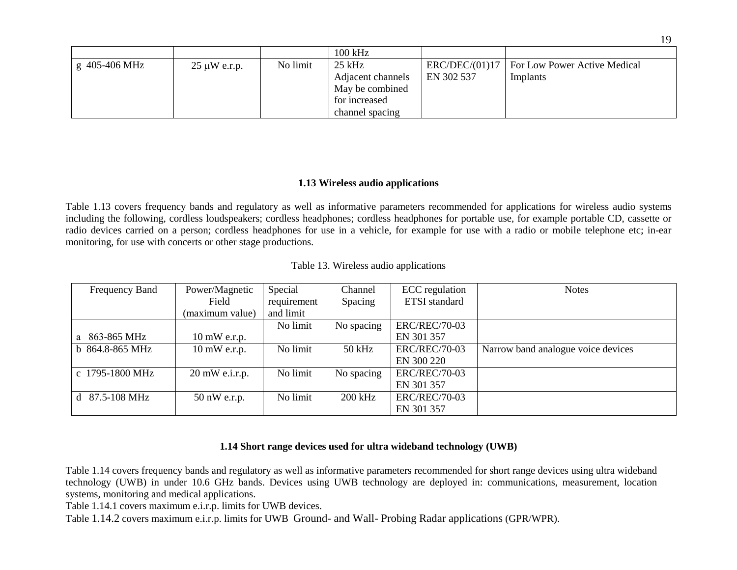|                             |                   |          | 100 kHz           |                |                              |
|-----------------------------|-------------------|----------|-------------------|----------------|------------------------------|
| $\frac{1}{2}$ g 405-406 MHz | $25 \mu W$ e.r.p. | No limit | $25$ kHz          | ERC/DEC/(01)17 | For Low Power Active Medical |
|                             |                   |          | Adjacent channels | EN 302 537     | Implants                     |
|                             |                   |          | May be combined   |                |                              |
|                             |                   |          | for increased     |                |                              |
|                             |                   |          | channel spacing   |                |                              |

### **1.13 Wireless audio applications**

Table 1.13 covers frequency bands and regulatory as well as informative parameters recommended for applications for wireless audio systems including the following, cordless loudspeakers; cordless headphones; cordless headphones for portable use, for example portable CD, cassette or radio devices carried on a person; cordless headphones for use in a vehicle, for example for use with a radio or mobile telephone etc; in-ear monitoring, for use with concerts or other stage productions.

| Frequency Band             | Power/Magnetic         | Special     | Channel    | ECC regulation       | <b>Notes</b>                       |
|----------------------------|------------------------|-------------|------------|----------------------|------------------------------------|
|                            | Field                  | requirement | Spacing    | <b>ETSI</b> standard |                                    |
|                            | (maximum value)        | and limit   |            |                      |                                    |
|                            |                        | No limit    | No spacing | <b>ERC/REC/70-03</b> |                                    |
| a 863-865 MHz              | $10 \text{ mW}$ e.r.p. |             |            | EN 301 357           |                                    |
| b 864.8-865 MHz            | $10 \text{ mW}$ e.r.p. | No limit    | $50$ kHz   | <b>ERC/REC/70-03</b> | Narrow band analogue voice devices |
|                            |                        |             |            | EN 300 220           |                                    |
| c 1795-1800 MHz            | 20 mW e.i.r.p.         | No limit    | No spacing | <b>ERC/REC/70-03</b> |                                    |
|                            |                        |             |            | EN 301 357           |                                    |
| d $87.5 - 108 \text{ MHz}$ | $50$ nW e.r.p.         | No limit    | $200$ kHz  | <b>ERC/REC/70-03</b> |                                    |
|                            |                        |             |            | EN 301 357           |                                    |

|  |  |  | Table 13. Wireless audio applications |
|--|--|--|---------------------------------------|
|--|--|--|---------------------------------------|

### **1.14 Short range devices used for ultra wideband technology (UWB)**

Table 1.14 covers frequency bands and regulatory as well as informative parameters recommended for short range devices using ultra wideband technology (UWB) in under 10.6 GHz bands. Devices using UWB technology are deployed in: communications, measurement, location systems, monitoring and medical applications.

Table 1.14.1 covers maximum e.i.r.p. limits for UWB devices.

Table 1.14.2 covers maximum e.i.r.p. limits for UWB Ground- and Wall- Probing Radar applications (GPR/WPR).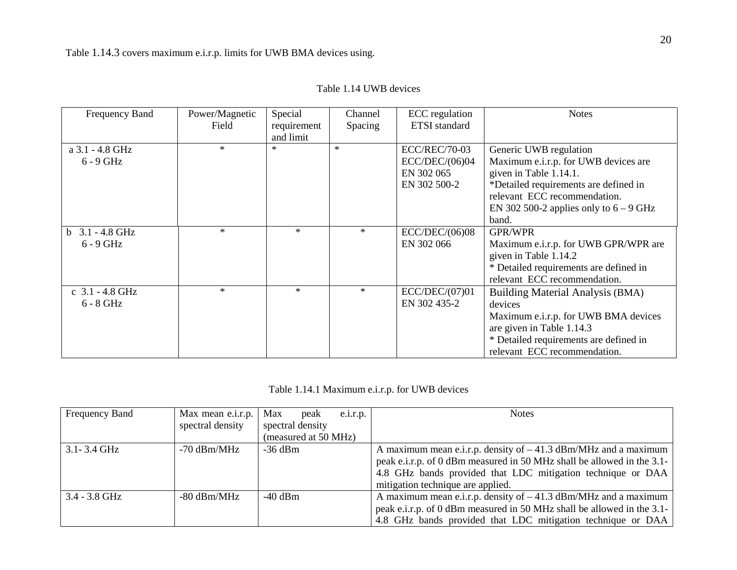|  |  |  | Table 1.14 UWB devices |
|--|--|--|------------------------|
|--|--|--|------------------------|

| Frequency Band    | Power/Magnetic | Special     | Channel | <b>ECC</b> regulation | <b>Notes</b>                             |
|-------------------|----------------|-------------|---------|-----------------------|------------------------------------------|
|                   | Field          | requirement | Spacing | <b>ETSI</b> standard  |                                          |
|                   |                | and limit   |         |                       |                                          |
| a 3.1 - 4.8 GHz   | $*$            | $*$         | $\ast$  | <b>ECC/REC/70-03</b>  | Generic UWB regulation                   |
| $6 - 9$ GHz       |                |             |         | ECC/DEC/(06)04        | Maximum e.i.r.p. for UWB devices are     |
|                   |                |             |         | EN 302 065            | given in Table 1.14.1.                   |
|                   |                |             |         | EN 302 500-2          | *Detailed requirements are defined in    |
|                   |                |             |         |                       | relevant ECC recommendation.             |
|                   |                |             |         |                       | EN 302 500-2 applies only to $6 - 9$ GHz |
|                   |                |             |         |                       | band.                                    |
| $b$ 3.1 - 4.8 GHz | $\ast$         | $\ast$      | $\ast$  | ECC/DEC/(06)08        | <b>GPR/WPR</b>                           |
| $6 - 9$ GHz       |                |             |         | EN 302 066            | Maximum e.i.r.p. for UWB GPR/WPR are     |
|                   |                |             |         |                       | given in Table 1.14.2                    |
|                   |                |             |         |                       | * Detailed requirements are defined in   |
|                   |                |             |         |                       | relevant ECC recommendation.             |
| c $3.1 - 4.8$ GHz | $\ast$         | $*$         | $\ast$  | ECC/DEC/(07)01        | Building Material Analysis (BMA)         |
| $6 - 8$ GHz       |                |             |         | EN 302 435-2          | devices                                  |
|                   |                |             |         |                       | Maximum e.i.r.p. for UWB BMA devices     |
|                   |                |             |         |                       | are given in Table 1.14.3                |
|                   |                |             |         |                       | * Detailed requirements are defined in   |
|                   |                |             |         |                       | relevant ECC recommendation.             |

|  | Table 1.14.1 Maximum e.i.r.p. for UWB devices |  |  |
|--|-----------------------------------------------|--|--|
|  |                                               |  |  |

| Frequency Band  | Max mean e.i.r.p.<br>spectral density | Max<br>peak<br>$e_{.1}$ .r.p.<br>spectral density | <b>Notes</b>                                                                                                                                                                                                                                   |
|-----------------|---------------------------------------|---------------------------------------------------|------------------------------------------------------------------------------------------------------------------------------------------------------------------------------------------------------------------------------------------------|
|                 |                                       | (measured at 50 MHz)                              |                                                                                                                                                                                                                                                |
| $3.1 - 3.4$ GHz | $-70$ dBm/MHz                         | $-36$ dBm                                         | A maximum mean e.i.r.p. density of $-41.3$ dBm/MHz and a maximum<br>peak e.i.r.p. of 0 dBm measured in 50 MHz shall be allowed in the 3.1-<br>4.8 GHz bands provided that LDC mitigation technique or DAA<br>mitigation technique are applied. |
| $3.4 - 3.8$ GHz | $-80$ dBm/MHz                         | $-40$ dBm                                         | A maximum mean e.i.r.p. density of $-41.3$ dBm/MHz and a maximum<br>peak e.i.r.p. of 0 dBm measured in 50 MHz shall be allowed in the 3.1-<br>4.8 GHz bands provided that LDC mitigation technique or DAA                                      |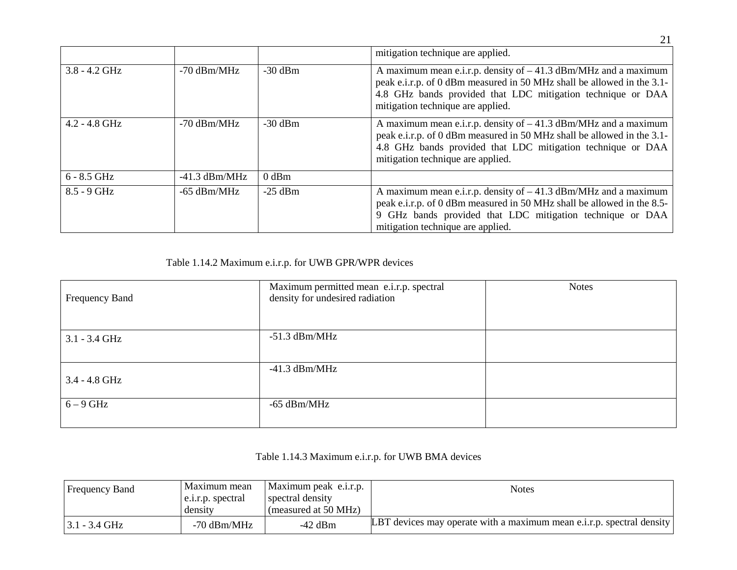|                 |                 |           | mitigation technique are applied.                                                                                                                                                                                                              |
|-----------------|-----------------|-----------|------------------------------------------------------------------------------------------------------------------------------------------------------------------------------------------------------------------------------------------------|
| $3.8 - 4.2$ GHz | $-70$ dBm/MHz   | $-30$ dBm | A maximum mean e.i.r.p. density of $-41.3$ dBm/MHz and a maximum<br>peak e.i.r.p. of 0 dBm measured in 50 MHz shall be allowed in the 3.1-<br>4.8 GHz bands provided that LDC mitigation technique or DAA<br>mitigation technique are applied. |
| $4.2 - 4.8$ GHz | $-70$ dBm/MHz   | $-30$ dBm | A maximum mean e.i.r.p. density of $-41.3$ dBm/MHz and a maximum<br>peak e.i.r.p. of 0 dBm measured in 50 MHz shall be allowed in the 3.1-<br>4.8 GHz bands provided that LDC mitigation technique or DAA<br>mitigation technique are applied. |
| $6 - 8.5$ GHz   | $-41.3$ dBm/MHz | $0$ dBm   |                                                                                                                                                                                                                                                |
| $8.5 - 9$ GHz   | $-65$ dBm/MHz   | $-25$ dBm | A maximum mean e.i.r.p. density of $-41.3$ dBm/MHz and a maximum<br>peak e.i.r.p. of 0 dBm measured in 50 MHz shall be allowed in the 8.5-<br>9 GHz bands provided that LDC mitigation technique or DAA<br>mitigation technique are applied.   |

Table 1.14.2 Maximum e.i.r.p. for UWB GPR/WPR devices

| Frequency Band  | Maximum permitted mean e.i.r.p. spectral<br>density for undesired radiation | <b>Notes</b> |
|-----------------|-----------------------------------------------------------------------------|--------------|
|                 |                                                                             |              |
| $3.1 - 3.4$ GHz | $-51.3$ dBm/MHz                                                             |              |
|                 |                                                                             |              |
| $3.4 - 4.8$ GHz | $-41.3$ dBm/MHz                                                             |              |
| $6-9$ GHz       | $-65$ dBm/MHz                                                               |              |

Table 1.14.3 Maximum e.i.r.p. for UWB BMA devices

| <b>Frequency Band</b> | Maximum mean<br>e.i.r.p. spectral<br>density | Maximum peak e.i.r.p.<br>spectral density<br>(measured at 50 MHz) | <b>Notes</b>                                                          |  |
|-----------------------|----------------------------------------------|-------------------------------------------------------------------|-----------------------------------------------------------------------|--|
| $3.1 - 3.4$ GHz       | $-70$ dBm/MHz                                | $-42$ dBm                                                         | LBT devices may operate with a maximum mean e.i.r.p. spectral density |  |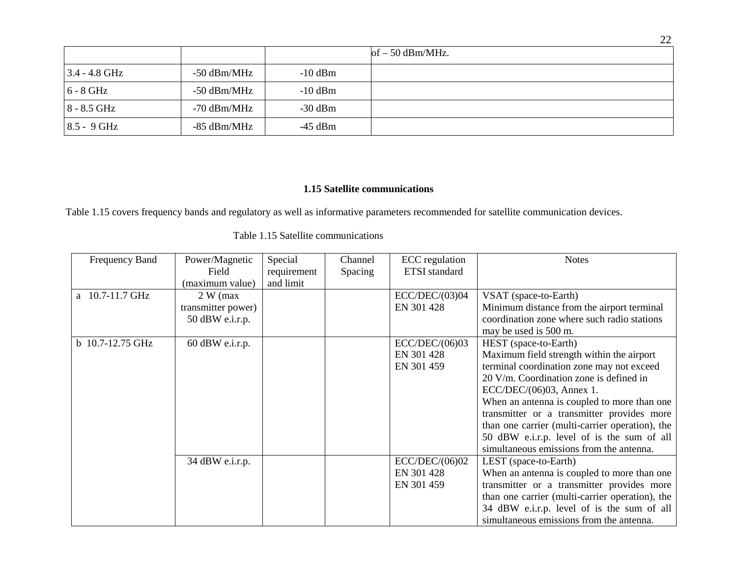|                 |               |           | of $-50$ dBm/MHz. |
|-----------------|---------------|-----------|-------------------|
| $3.4 - 4.8$ GHz | $-50$ dBm/MHz | $-10$ dBm |                   |
| $6 - 8$ GHz     | $-50$ dBm/MHz | $-10$ dBm |                   |
| $8 - 8.5$ GHz   | $-70$ dBm/MHz | $-30$ dBm |                   |
| $8.5 - 9$ GHz   | -85 dBm/MHz   | -45 dBm   |                   |

### **1.15 Satellite communications**

Table 1.15 covers frequency bands and regulatory as well as informative parameters recommended for satellite communication devices.

| Frequency Band   | Power/Magnetic     | Special     | Channel | <b>ECC</b> regulation | <b>Notes</b>                                    |
|------------------|--------------------|-------------|---------|-----------------------|-------------------------------------------------|
|                  | Field              | requirement | Spacing | <b>ETSI</b> standard  |                                                 |
|                  | (maximum value)    | and limit   |         |                       |                                                 |
| a 10.7-11.7 GHz  | $2 W$ (max)        |             |         | ECC/DEC/(03)04        | VSAT (space-to-Earth)                           |
|                  | transmitter power) |             |         | EN 301 428            | Minimum distance from the airport terminal      |
|                  | 50 dBW e.i.r.p.    |             |         |                       | coordination zone where such radio stations     |
|                  |                    |             |         |                       | may be used is 500 m.                           |
| b 10.7-12.75 GHz | $60$ dBW e.i.r.p.  |             |         | ECC/DEC/(06)03        | HEST (space-to-Earth)                           |
|                  |                    |             |         | EN 301 428            | Maximum field strength within the airport       |
|                  |                    |             |         | EN 301 459            | terminal coordination zone may not exceed       |
|                  |                    |             |         |                       | 20 V/m. Coordination zone is defined in         |
|                  |                    |             |         |                       | ECC/DEC/(06)03, Annex 1.                        |
|                  |                    |             |         |                       | When an antenna is coupled to more than one     |
|                  |                    |             |         |                       | transmitter or a transmitter provides more      |
|                  |                    |             |         |                       | than one carrier (multi-carrier operation), the |
|                  |                    |             |         |                       | 50 dBW e.i.r.p. level of is the sum of all      |
|                  |                    |             |         |                       | simultaneous emissions from the antenna.        |
|                  | 34 dBW e.i.r.p.    |             |         | ECC/DEC/(06)02        | LEST (space-to-Earth)                           |
|                  |                    |             |         | EN 301 428            | When an antenna is coupled to more than one     |
|                  |                    |             |         | EN 301 459            | transmitter or a transmitter provides more      |
|                  |                    |             |         |                       | than one carrier (multi-carrier operation), the |
|                  |                    |             |         |                       | 34 dBW e.i.r.p. level of is the sum of all      |
|                  |                    |             |         |                       | simultaneous emissions from the antenna.        |

Table 1.15 Satellite communications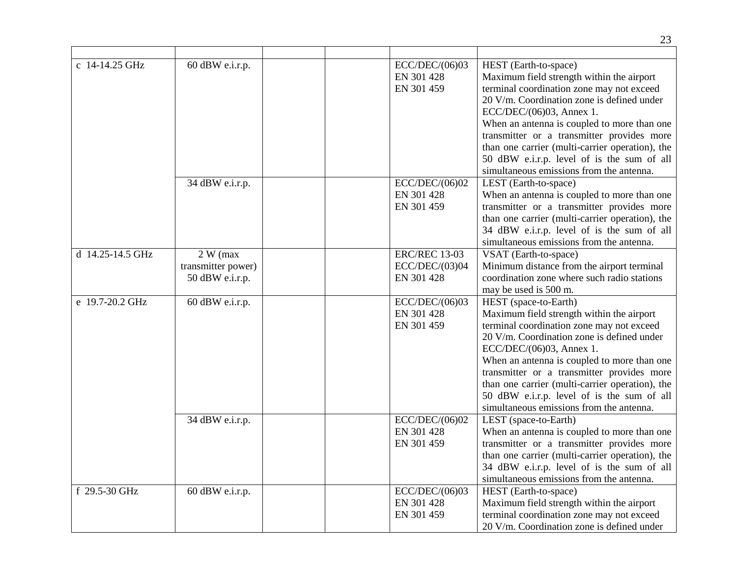|                  |                                                     |                                                      | 23                                                                                                                                                                                                                                                                                                                                                                                                                                  |
|------------------|-----------------------------------------------------|------------------------------------------------------|-------------------------------------------------------------------------------------------------------------------------------------------------------------------------------------------------------------------------------------------------------------------------------------------------------------------------------------------------------------------------------------------------------------------------------------|
| c 14-14.25 GHz   | 60 dBW e.i.r.p.                                     | ECC/DEC/(06)03<br>EN 301 428<br>EN 301 459           | HEST (Earth-to-space)<br>Maximum field strength within the airport<br>terminal coordination zone may not exceed<br>20 V/m. Coordination zone is defined under<br>ECC/DEC/(06)03, Annex 1.<br>When an antenna is coupled to more than one<br>transmitter or a transmitter provides more<br>than one carrier (multi-carrier operation), the                                                                                           |
|                  | 34 dBW e.i.r.p.                                     | ECC/DEC/(06)02<br>EN 301 428<br>EN 301 459           | 50 dBW e.i.r.p. level of is the sum of all<br>simultaneous emissions from the antenna.<br>LEST (Earth-to-space)<br>When an antenna is coupled to more than one<br>transmitter or a transmitter provides more<br>than one carrier (multi-carrier operation), the<br>34 dBW e.i.r.p. level of is the sum of all<br>simultaneous emissions from the antenna.                                                                           |
| d 14.25-14.5 GHz | $2 W$ (max<br>transmitter power)<br>50 dBW e.i.r.p. | <b>ERC/REC 13-03</b><br>ECC/DEC/(03)04<br>EN 301 428 | VSAT (Earth-to-space)<br>Minimum distance from the airport terminal<br>coordination zone where such radio stations<br>may be used is 500 m.                                                                                                                                                                                                                                                                                         |
| e 19.7-20.2 GHz  | 60 dBW e.i.r.p.                                     | ECC/DEC/(06)03<br>EN 301 428<br>EN 301 459           | HEST (space-to-Earth)<br>Maximum field strength within the airport<br>terminal coordination zone may not exceed<br>20 V/m. Coordination zone is defined under<br>ECC/DEC/(06)03, Annex 1.<br>When an antenna is coupled to more than one<br>transmitter or a transmitter provides more<br>than one carrier (multi-carrier operation), the<br>50 dBW e.i.r.p. level of is the sum of all<br>simultaneous emissions from the antenna. |
|                  | 34 dBW e.i.r.p.                                     | ECC/DEC/(06)02<br>EN 301 428<br>EN 301 459           | LEST (space-to-Earth)<br>When an antenna is coupled to more than one<br>transmitter or a transmitter provides more<br>than one carrier (multi-carrier operation), the<br>34 dBW e.i.r.p. level of is the sum of all<br>simultaneous emissions from the antenna.                                                                                                                                                                     |
| f 29.5-30 GHz    | $60$ dBW e.i.r.p.                                   | ECC/DEC/(06)03<br>EN 301 428<br>EN 301 459           | HEST (Earth-to-space)<br>Maximum field strength within the airport<br>terminal coordination zone may not exceed<br>20 V/m. Coordination zone is defined under                                                                                                                                                                                                                                                                       |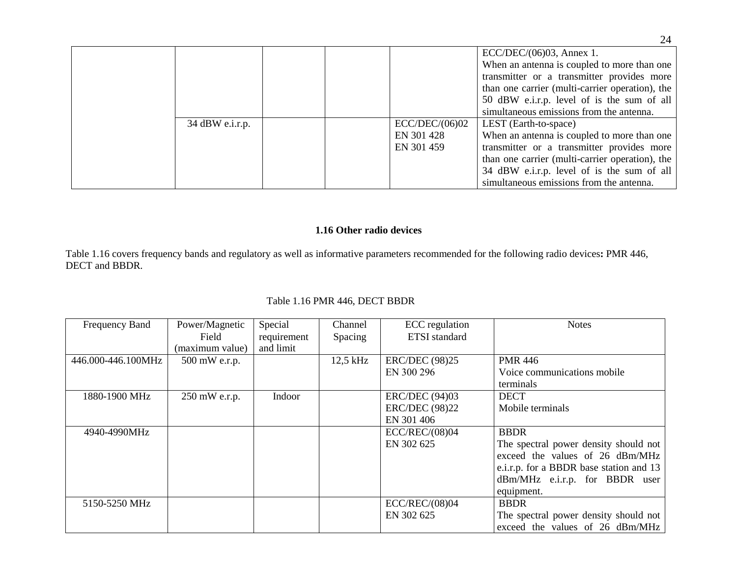|                 |  |                | $ECC/DEC/(06)03$ , Annex 1.<br>When an antenna is coupled to more than one<br>transmitter or a transmitter provides more<br>than one carrier (multi-carrier operation), the<br>50 dBW e.i.r.p. level of is the sum of all |
|-----------------|--|----------------|---------------------------------------------------------------------------------------------------------------------------------------------------------------------------------------------------------------------------|
|                 |  |                | simultaneous emissions from the antenna.                                                                                                                                                                                  |
| 34 dBW e.i.r.p. |  | ECC/DEC/(06)02 | LEST (Earth-to-space)                                                                                                                                                                                                     |
|                 |  | EN 301 428     | When an antenna is coupled to more than one                                                                                                                                                                               |
|                 |  | EN 301 459     | transmitter or a transmitter provides more                                                                                                                                                                                |
|                 |  |                | than one carrier (multi-carrier operation), the                                                                                                                                                                           |
|                 |  |                | 34 dBW e.i.r.p. level of is the sum of all                                                                                                                                                                                |
|                 |  |                | simultaneous emissions from the antenna.                                                                                                                                                                                  |

## **1.16 Other radio devices**

Table 1.16 covers frequency bands and regulatory as well as informative parameters recommended for the following radio devices**:** PMR 446, DECT and BBDR.

| Frequency Band     | Power/Magnetic  | Special     | Channel  | ECC regulation        | <b>Notes</b>                            |
|--------------------|-----------------|-------------|----------|-----------------------|-----------------------------------------|
|                    | Field           | requirement | Spacing  | <b>ETSI</b> standard  |                                         |
|                    | (maximum value) | and limit   |          |                       |                                         |
| 446.000-446.100MHz | 500 mW e.r.p.   |             | 12,5 kHz | <b>ERC/DEC (98)25</b> | <b>PMR 446</b>                          |
|                    |                 |             |          | EN 300 296            | Voice communications mobile             |
|                    |                 |             |          |                       | terminals                               |
| 1880-1900 MHz      | 250 mW e.r.p.   | Indoor      |          | <b>ERC/DEC</b> (94)03 | <b>DECT</b>                             |
|                    |                 |             |          | <b>ERC/DEC (98)22</b> | Mobile terminals                        |
|                    |                 |             |          | EN 301 406            |                                         |
| 4940-4990MHz       |                 |             |          | ECC/REC/(08)04        | <b>BBDR</b>                             |
|                    |                 |             |          | EN 302 625            | The spectral power density should not   |
|                    |                 |             |          |                       | exceed the values of 26 dBm/MHz         |
|                    |                 |             |          |                       | e.i.r.p. for a BBDR base station and 13 |
|                    |                 |             |          |                       | dBm/MHz e.i.r.p. for BBDR user          |
|                    |                 |             |          |                       | equipment.                              |
| 5150-5250 MHz      |                 |             |          | ECC/REC/(08)04        | <b>BBDR</b>                             |
|                    |                 |             |          | EN 302 625            | The spectral power density should not   |
|                    |                 |             |          |                       | exceed the values of 26 dBm/MHz         |

## Table 1.16 PMR 446, DECT BBDR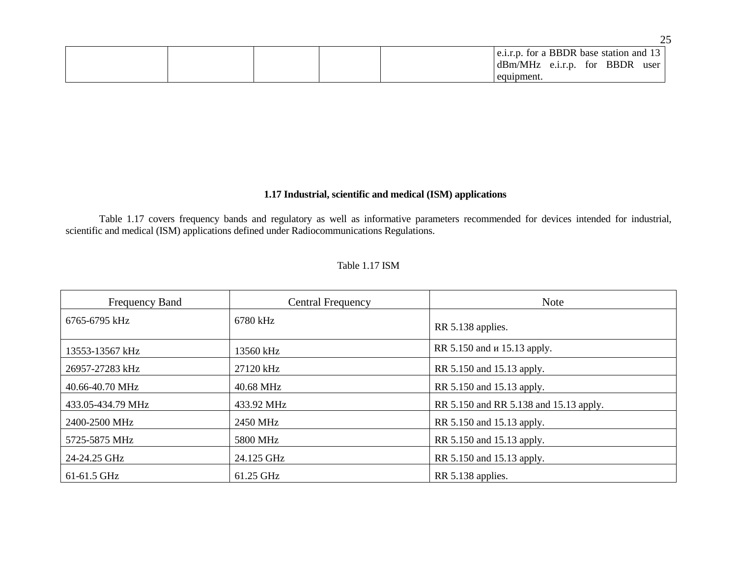|  |  | e.i.r.p. for a BBDR base station and 13 |               |          |      |
|--|--|-----------------------------------------|---------------|----------|------|
|  |  | dBm/MHz                                 | $e.i.r.p.$ 1. | for BBDR | user |
|  |  | equipment.                              |               |          |      |

#### **1.17 Industrial, scientific and medical (ISM) applications**

Table 1.17 covers frequency bands and regulatory as well as informative parameters recommended for devices intended for industrial, scientific and medical (ISM) applications defined under Radiocommunications Regulations.

### Table 1.17 ISM

| <b>Frequency Band</b> | <b>Central Frequency</b> | <b>Note</b>                            |
|-----------------------|--------------------------|----------------------------------------|
| 6765-6795 kHz         | 6780 kHz                 | RR 5.138 applies.                      |
| 13553-13567 kHz       | 13560 kHz                | RR 5.150 and <i>u</i> 15.13 apply.     |
| 26957-27283 kHz       | 27120 kHz                | RR 5.150 and 15.13 apply.              |
| 40.66-40.70 MHz       | 40.68 MHz                | RR 5.150 and 15.13 apply.              |
| 433.05-434.79 MHz     | 433.92 MHz               | RR 5.150 and RR 5.138 and 15.13 apply. |
| 2400-2500 MHz         | 2450 MHz                 | RR 5.150 and 15.13 apply.              |
| 5725-5875 MHz         | 5800 MHz                 | RR 5.150 and 15.13 apply.              |
| 24-24.25 GHz          | 24.125 GHz               | RR 5.150 and 15.13 apply.              |
| 61-61.5 GHz           | 61.25 GHz                | RR 5.138 applies.                      |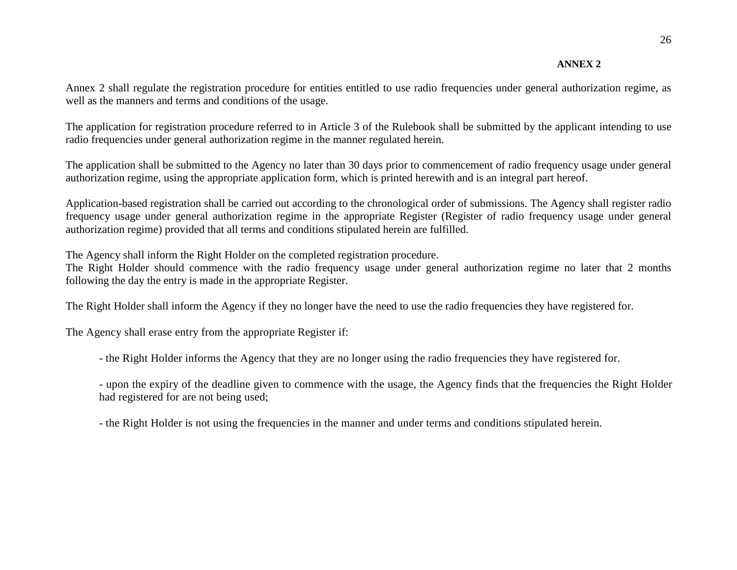#### **ANNEX 2**

Annex 2 shall regulate the registration procedure for entities entitled to use radio frequencies under general authorization regime, as well as the manners and terms and conditions of the usage.

The application for registration procedure referred to in Article 3 of the Rulebook shall be submitted by the applicant intending to use radio frequencies under general authorization regime in the manner regulated herein.

The application shall be submitted to the Agency no later than 30 days prior to commencement of radio frequency usage under general authorization regime, using the appropriate application form, which is printed herewith and is an integral part hereof.

Application-based registration shall be carried out according to the chronological order of submissions. The Agency shall register radio frequency usage under general authorization regime in the appropriate Register (Register of radio frequency usage under general authorization regime) provided that all terms and conditions stipulated herein are fulfilled.

The Agency shall inform the Right Holder on the completed registration procedure.

The Right Holder should commence with the radio frequency usage under general authorization regime no later that 2 months following the day the entry is made in the appropriate Register.

The Right Holder shall inform the Agency if they no longer have the need to use the radio frequencies they have registered for.

The Agency shall erase entry from the appropriate Register if:

- the Right Holder informs the Agency that they are no longer using the radio frequencies they have registered for.

- upon the expiry of the deadline given to commence with the usage, the Agency finds that the frequencies the Right Holder had registered for are not being used;

- the Right Holder is not using the frequencies in the manner and under terms and conditions stipulated herein.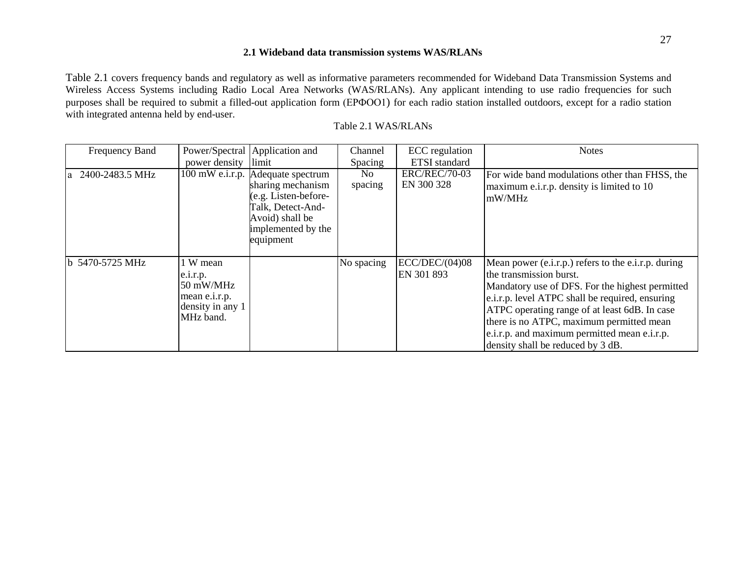#### **2.1 Wideband data transmission systems WAS/RLANs**

Table 2.1 covers frequency bands and regulatory as well as informative parameters recommended for Wideband Data Transmission Systems and Wireless Access Systems including Radio Local Area Networks (WAS/RLANs). Any applicant intending to use radio frequencies for such purposes shall be required to submit a filled-out application form (ЕРФОО1) for each radio station installed outdoors, except for a radio station with integrated antenna held by end-user.

| Frequency Band    |                                                                                                | Power/Spectral   Application and                                                                                                                          | Channel        | ECC regulation                     | <b>Notes</b>                                                                                                                                                                                                                                                                                                                                                           |
|-------------------|------------------------------------------------------------------------------------------------|-----------------------------------------------------------------------------------------------------------------------------------------------------------|----------------|------------------------------------|------------------------------------------------------------------------------------------------------------------------------------------------------------------------------------------------------------------------------------------------------------------------------------------------------------------------------------------------------------------------|
|                   | power density                                                                                  | limit                                                                                                                                                     | Spacing        | <b>ETSI</b> standard               |                                                                                                                                                                                                                                                                                                                                                                        |
| a 2400-2483.5 MHz |                                                                                                | 100 mW e.i.r.p. Adequate spectrum<br>sharing mechanism<br>(e.g. Listen-before-<br>Talk, Detect-And-<br>Avoid) shall be<br>implemented by the<br>equipment | No.<br>spacing | <b>ERC/REC/70-03</b><br>EN 300 328 | For wide band modulations other than FHSS, the<br>maximum e.i.r.p. density is limited to 10<br>mW/MHz                                                                                                                                                                                                                                                                  |
| b 5470-5725 MHz   | 1 W mean<br>e.1.r.p.<br>$50 \text{ mW}$ /MHz<br>mean e.i.r.p.<br>density in any 1<br>MHz band. |                                                                                                                                                           | No spacing     | $EC$ /DEC/ $(04)08$<br>EN 301 893  | Mean power (e.i.r.p.) refers to the e.i.r.p. during<br>the transmission burst.<br>Mandatory use of DFS. For the highest permitted<br>e.i.r.p. level ATPC shall be required, ensuring<br>ATPC operating range of at least 6dB. In case<br>there is no ATPC, maximum permitted mean<br>e.i.r.p. and maximum permitted mean e.i.r.p.<br>density shall be reduced by 3 dB. |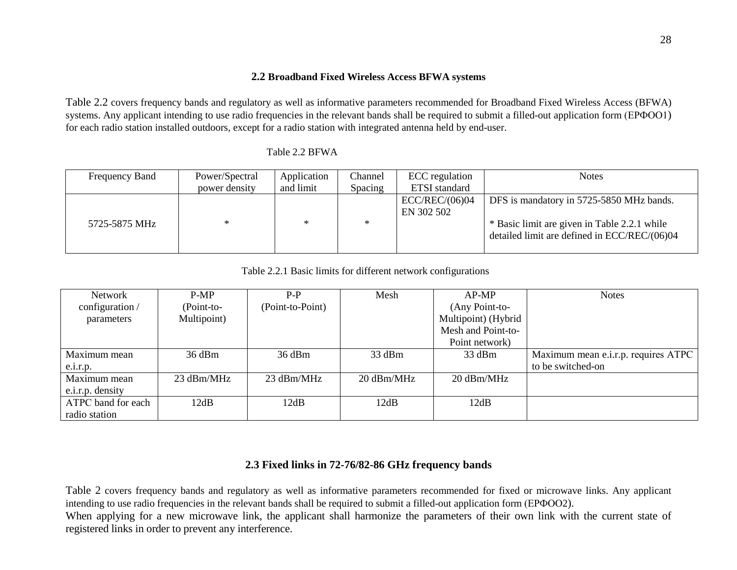#### **2.2 Broadband Fixed Wireless Access BFWA systems**

Table 2.2 covers frequency bands and regulatory as well as informative parameters recommended for Broadband Fixed Wireless Access (BFWA) systems. Any applicant intending to use radio frequencies in the relevant bands shall be required to submit a filled-out application form (EPФOO1) for each radio station installed outdoors, except for a radio station with integrated antenna held by end-user.

| Frequency Band | Power/Spectral | Application | Channel | ECC regulation | <b>Notes</b>                                 |
|----------------|----------------|-------------|---------|----------------|----------------------------------------------|
|                | power density  | and limit   | Spacing | ETSI standard  |                                              |
|                |                |             |         | ECC/REC/(06)04 | DFS is mandatory in 5725-5850 MHz bands.     |
|                |                |             |         | EN 302 502     |                                              |
| 5725-5875 MHz  |                | $\ast$      | *       |                | * Basic limit are given in Table 2.2.1 while |
|                |                |             |         |                | detailed limit are defined in ECC/REC/(06)04 |
|                |                |             |         |                |                                              |

Table 2.2 BFWA

Table 2.2.1 Basic limits for different network configurations

| <b>Network</b>     | P-MP        | $P-P$            | Mesh       | $AP-MP$             | <b>Notes</b>                        |
|--------------------|-------------|------------------|------------|---------------------|-------------------------------------|
| configuration /    | Point-to-   | (Point-to-Point) |            | (Any Point-to-      |                                     |
| parameters         | Multipoint) |                  |            | Multipoint) (Hybrid |                                     |
|                    |             |                  |            | Mesh and Point-to-  |                                     |
|                    |             |                  |            | Point network)      |                                     |
| Maximum mean       | 36 dBm      | $36$ dBm         | 33 dBm     | 33 dBm              | Maximum mean e.i.r.p. requires ATPC |
| e.1.r.p.           |             |                  |            |                     | to be switched-on                   |
| Maximum mean       | 23 dBm/MHz  | 23 dBm/MHz       | 20 dBm/MHz | 20 dBm/MHz          |                                     |
| e.i.r.p. density   |             |                  |            |                     |                                     |
| ATPC band for each | 12dB        | 12dB             | 12dB       | 12dB                |                                     |
| radio station      |             |                  |            |                     |                                     |

## **2.3 Fixed links in 72-76/82-86 GHz frequency bands**

Table 2 covers frequency bands and regulatory as well as informative parameters recommended for fixed or microwave links. Any applicant intending to use radio frequencies in the relevant bands shall be required to submit a filled-out application form (EPΦOO2). When applying for a new microwave link, the applicant shall harmonize the parameters of their own link with the current state of registered links in order to prevent any interference.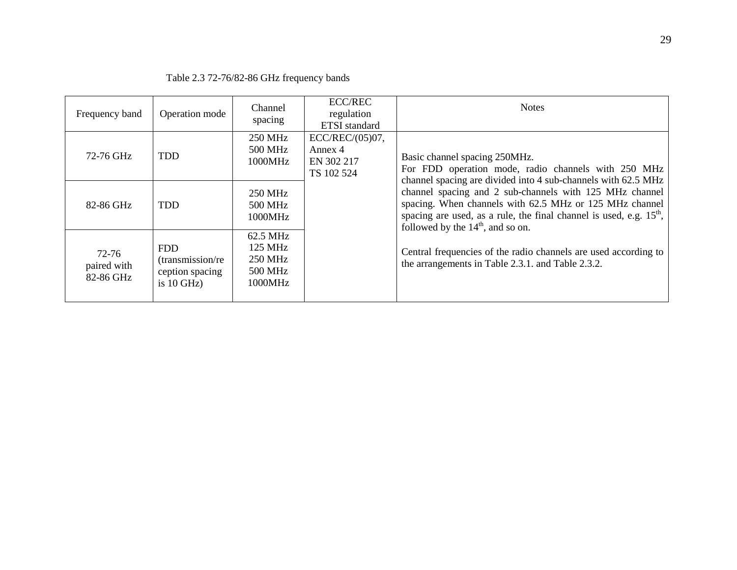| Frequency band                    | Operation mode                                                    | Channel<br>spacing                                          | <b>ECC/REC</b><br>regulation<br><b>ETSI</b> standard      | <b>Notes</b>                                                                                                                                                                                                                       |
|-----------------------------------|-------------------------------------------------------------------|-------------------------------------------------------------|-----------------------------------------------------------|------------------------------------------------------------------------------------------------------------------------------------------------------------------------------------------------------------------------------------|
| 72-76 GHz                         | <b>TDD</b>                                                        | <b>250 MHz</b><br>500 MHz<br>1000MHz                        | $ECC/REC/(05)07$ ,<br>Annex 4<br>EN 302 217<br>TS 102 524 | Basic channel spacing 250MHz.<br>For FDD operation mode, radio channels with 250 MHz<br>channel spacing are divided into 4 sub-channels with 62.5 MHz                                                                              |
| 82-86 GHz                         | <b>TDD</b>                                                        | <b>250 MHz</b><br>500 MHz<br>1000MHz                        |                                                           | channel spacing and 2 sub-channels with 125 MHz channel<br>spacing. When channels with 62.5 MHz or 125 MHz channel<br>spacing are used, as a rule, the final channel is used, e.g. $15th$ ,<br>followed by the $14th$ , and so on. |
| 72-76<br>paired with<br>82-86 GHz | <b>FDD</b><br>(transmission/re<br>ception spacing<br>is $10$ GHz) | 62.5 MHz<br>125 MHz<br><b>250 MHz</b><br>500 MHz<br>1000MHz |                                                           | Central frequencies of the radio channels are used according to<br>the arrangements in Table 2.3.1. and Table 2.3.2.                                                                                                               |

## Table 2.3 72-76/82-86 GHz frequency bands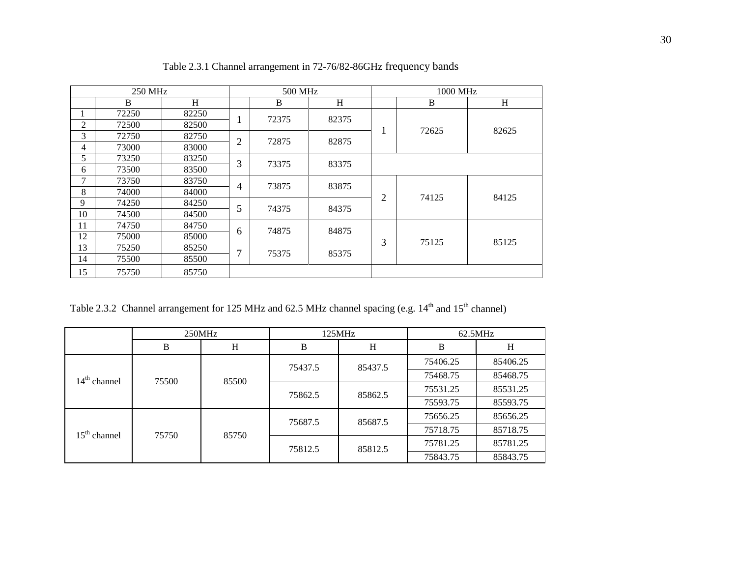| 250 MHz        |       |       |                | 500 MHz |       |   | 1000 MHz |       |  |
|----------------|-------|-------|----------------|---------|-------|---|----------|-------|--|
|                | B     | H     |                | B       | H     |   | B        | H     |  |
|                | 72250 | 82250 |                | 72375   | 82375 |   |          |       |  |
| $\overline{2}$ | 72500 | 82500 |                |         |       |   | 72625    | 82625 |  |
| 3              | 72750 | 82750 | $\overline{2}$ | 72875   | 82875 |   |          |       |  |
| 4              | 73000 | 83000 |                |         |       |   |          |       |  |
| 5              | 73250 | 83250 | 3              | 73375   | 83375 |   |          |       |  |
| 6              | 73500 | 83500 |                |         |       |   |          |       |  |
| $\mathcal{I}$  | 73750 | 83750 | $\overline{4}$ | 73875   | 83875 |   |          |       |  |
| 8              | 74000 | 84000 |                |         |       | 2 | 74125    | 84125 |  |
| 9              | 74250 | 84250 | 5              | 74375   | 84375 |   |          |       |  |
| 10             | 74500 | 84500 |                |         |       |   |          |       |  |
| 11             | 74750 | 84750 |                | 74875   | 84875 |   |          |       |  |
| 12             | 75000 | 85000 | 6              |         |       | 3 | 75125    | 85125 |  |
| 13             | 75250 | 85250 | 7              | 75375   | 85375 |   |          |       |  |
| 14             | 75500 | 85500 |                |         |       |   |          |       |  |
| 15             | 75750 | 85750 |                |         |       |   |          |       |  |

Table 2.3.1 Channel arrangement in 72-76/82-86GHz frequency bands

Table 2.3.2 Channel arrangement for 125 MHz and 62.5 MHz channel spacing (e.g. 14<sup>th</sup> and 15<sup>th</sup> channel)

|                | 250MHz |       |         | 125MHz  | 62.5MHz  |          |
|----------------|--------|-------|---------|---------|----------|----------|
|                | B      | H     | B       | Н       | B        | H        |
|                |        |       | 75437.5 | 85437.5 | 75406.25 | 85406.25 |
| $14th$ channel | 75500  | 85500 |         |         | 75468.75 | 85468.75 |
|                |        |       | 75862.5 | 85862.5 | 75531.25 | 85531.25 |
|                |        |       |         |         | 75593.75 | 85593.75 |
| $15th$ channel | 75750  | 85750 | 75687.5 | 85687.5 | 75656.25 | 85656.25 |
|                |        |       |         |         | 75718.75 | 85718.75 |
|                |        |       | 75812.5 | 85812.5 | 75781.25 | 85781.25 |
|                |        |       |         |         | 75843.75 | 85843.75 |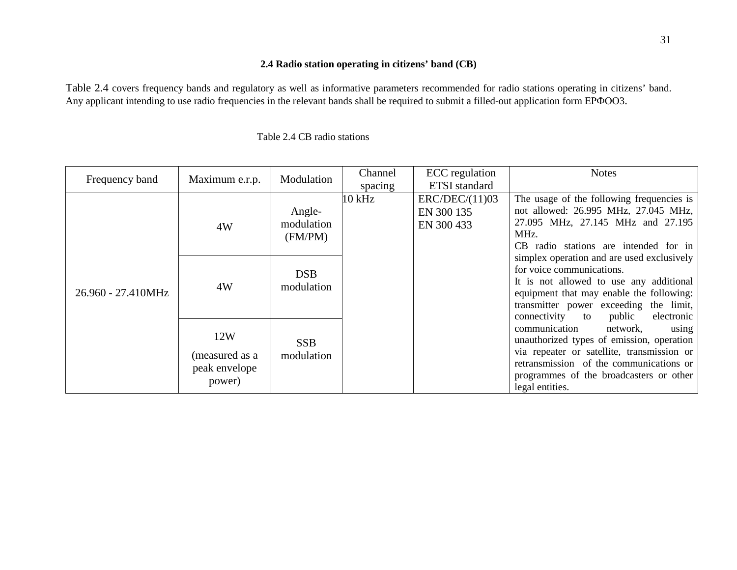### **2.4 Radio station operating in citizens' band (CB)**

Table 2.4 covers frequency bands and regulatory as well as informative parameters recommended for radio stations operating in citizens' band. Any applicant intending to use radio frequencies in the relevant bands shall be required to submit a filled-out application form EPФOO3.

| Frequency band     | Maximum e.r.p.                                   | Modulation                      | Channel  | ECC regulation                             | <b>Notes</b>                                                                                                                                                                                                                                        |
|--------------------|--------------------------------------------------|---------------------------------|----------|--------------------------------------------|-----------------------------------------------------------------------------------------------------------------------------------------------------------------------------------------------------------------------------------------------------|
|                    |                                                  |                                 | spacing  | <b>ETSI</b> standard                       |                                                                                                                                                                                                                                                     |
| 26.960 - 27.410MHz | 4W                                               | Angle-<br>modulation<br>(FM/PM) | $10$ kHz | ERC/DEC/(11)03<br>EN 300 135<br>EN 300 433 | The usage of the following frequencies is<br>not allowed: 26.995 MHz, 27.045 MHz,<br>27.095 MHz, 27.145 MHz and 27.195<br>MHz.<br>CB radio stations are intended for in                                                                             |
|                    | 4W                                               | <b>DSB</b><br>modulation        |          |                                            | simplex operation and are used exclusively<br>for voice communications.<br>It is not allowed to use any additional<br>equipment that may enable the following:<br>transmitter power exceeding the limit,<br>connectivity to<br>public<br>electronic |
|                    | 12W<br>(measured as a<br>peak envelope<br>power) | <b>SSB</b><br>modulation        |          |                                            | communication<br>network,<br>using<br>unauthorized types of emission, operation<br>via repeater or satellite, transmission or<br>retransmission of the communications or<br>programmes of the broadcasters or other<br>legal entities.              |

### Table 2.4 CB radio stations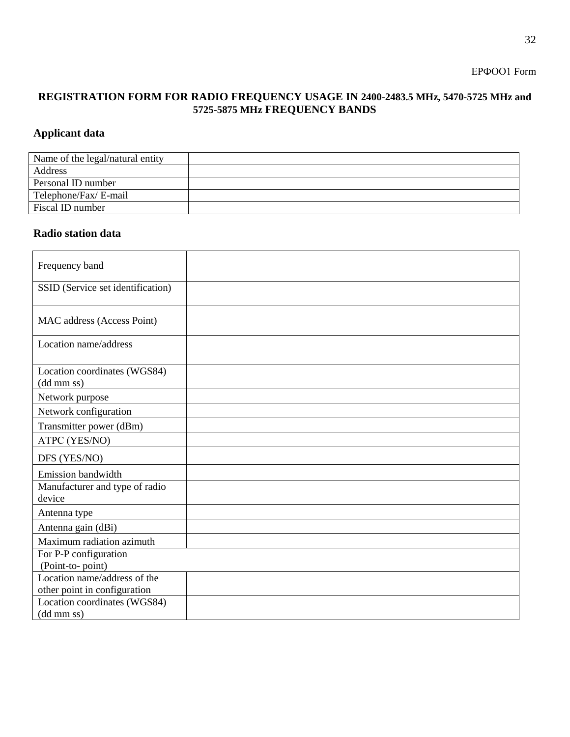ЕРФОО1 Form

## **REGISTRATION FORM FOR RADIO FREQUENCY USAGE IN 2400-2483.5 MHz, 5470-5725 MHz and 5725-5875 MHz FREQUENCY BANDS**

# **Applicant data**

| Name of the legal/natural entity |  |
|----------------------------------|--|
| Address                          |  |
| Personal ID number               |  |
| Telephone/Fax/ E-mail            |  |
| Fiscal ID number                 |  |

## **Radio station data**

| Frequency band                             |  |
|--------------------------------------------|--|
| SSID (Service set identification)          |  |
| MAC address (Access Point)                 |  |
| Location name/address                      |  |
| Location coordinates (WGS84)<br>(dd mm ss) |  |
| Network purpose                            |  |
| Network configuration                      |  |
| Transmitter power (dBm)                    |  |
| ATPC (YES/NO)                              |  |
| DFS (YES/NO)                               |  |
| Emission bandwidth                         |  |
| Manufacturer and type of radio             |  |
| device                                     |  |
| Antenna type                               |  |
| Antenna gain (dBi)                         |  |
| Maximum radiation azimuth                  |  |
| For P-P configuration                      |  |
| (Point-to-point)                           |  |
| Location name/address of the               |  |
| other point in configuration               |  |
| Location coordinates (WGS84)               |  |
| $(dd \, mm\, ss)$                          |  |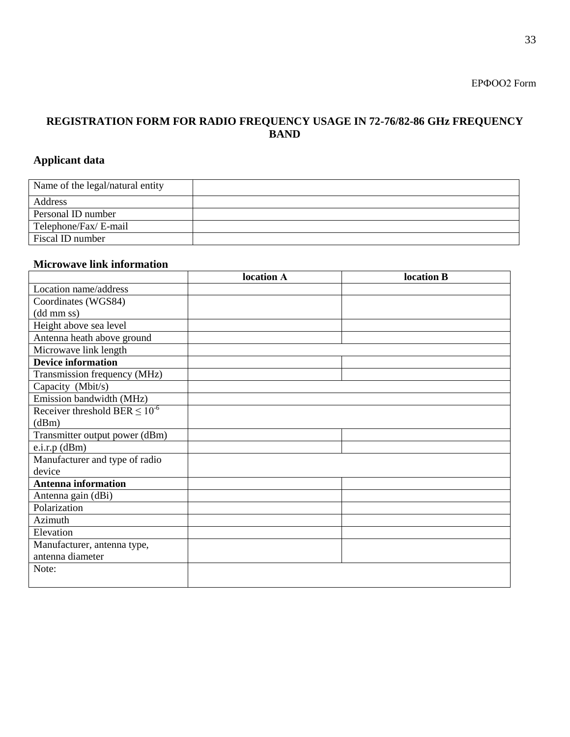# **REGISTRATION FORM FOR RADIO FREQUENCY USAGE IN 72-76/82-86 GHz FREQUENCY BAND**

# **Applicant data**

| Name of the legal/natural entity |  |
|----------------------------------|--|
| Address                          |  |
| Personal ID number               |  |
| Telephone/Fax/ E-mail            |  |
| Fiscal ID number                 |  |

## **Microwave link information**

|                                       | location A | location B |
|---------------------------------------|------------|------------|
| Location name/address                 |            |            |
| Coordinates (WGS84)                   |            |            |
| (dd mm ss)                            |            |            |
| Height above sea level                |            |            |
| Antenna heath above ground            |            |            |
| Microwave link length                 |            |            |
| <b>Device information</b>             |            |            |
| Transmission frequency (MHz)          |            |            |
| Capacity (Mbit/s)                     |            |            |
| Emission bandwidth (MHz)              |            |            |
| Receiver threshold BER $\leq 10^{-6}$ |            |            |
| (dBm)                                 |            |            |
| Transmitter output power (dBm)        |            |            |
| $e.i.r.p$ (dBm)                       |            |            |
| Manufacturer and type of radio        |            |            |
| device                                |            |            |
| <b>Antenna information</b>            |            |            |
| Antenna gain (dBi)                    |            |            |
| Polarization                          |            |            |
| Azimuth                               |            |            |
| Elevation                             |            |            |
| Manufacturer, antenna type,           |            |            |
| antenna diameter                      |            |            |
| Note:                                 |            |            |
|                                       |            |            |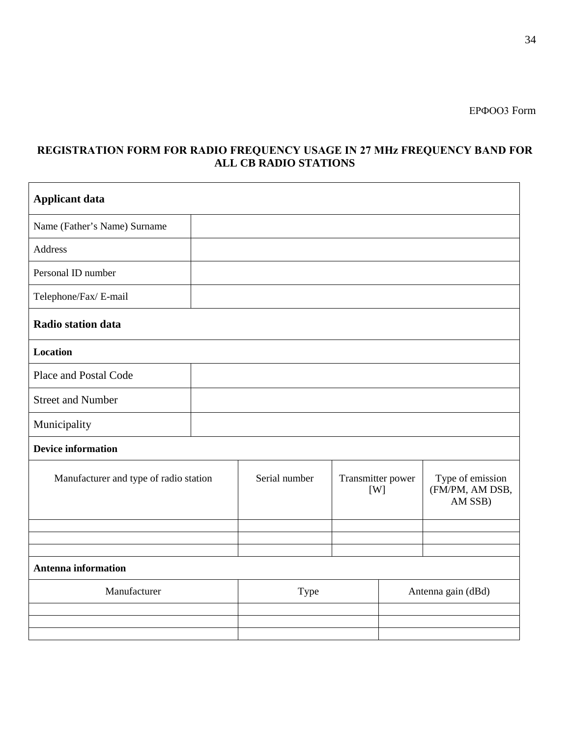## **REGISTRATION FORM FOR RADIO FREQUENCY USAGE IN 27 МHz FREQUENCY BAND FOR ALL CB RADIO STATIONS**

| <b>Applicant data</b>                  |  |               |                          |                    |                                                |
|----------------------------------------|--|---------------|--------------------------|--------------------|------------------------------------------------|
| Name (Father's Name) Surname           |  |               |                          |                    |                                                |
| <b>Address</b>                         |  |               |                          |                    |                                                |
| Personal ID number                     |  |               |                          |                    |                                                |
| Telephone/Fax/ E-mail                  |  |               |                          |                    |                                                |
| Radio station data                     |  |               |                          |                    |                                                |
| <b>Location</b>                        |  |               |                          |                    |                                                |
| Place and Postal Code                  |  |               |                          |                    |                                                |
| <b>Street and Number</b>               |  |               |                          |                    |                                                |
| Municipality                           |  |               |                          |                    |                                                |
| <b>Device information</b>              |  |               |                          |                    |                                                |
| Manufacturer and type of radio station |  | Serial number | Transmitter power<br>[W] |                    | Type of emission<br>(FM/PM, AM DSB,<br>AM SSB) |
|                                        |  |               |                          |                    |                                                |
|                                        |  |               |                          |                    |                                                |
| <b>Antenna information</b>             |  |               |                          |                    |                                                |
| Manufacturer                           |  | Type          |                          | Antenna gain (dBd) |                                                |
|                                        |  |               |                          |                    |                                                |
|                                        |  |               |                          |                    |                                                |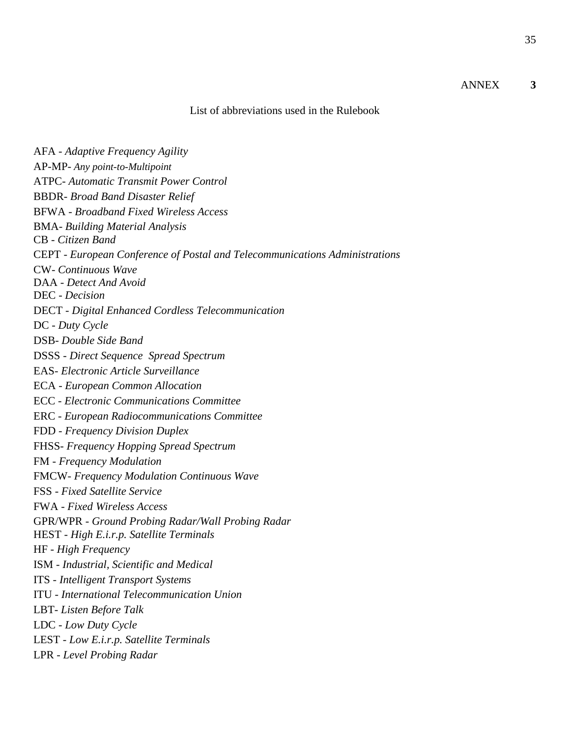### ANNEX **3**

#### List of abbreviations used in the Rulebook

AFA - *Adaptive Frequency Agility* AP-MP- *Any point-to-Multipoint* ATPC- *Automatic Transmit Power Control* BBDR- *Broad Band Disaster Relief* BFWA - *Broadband Fixed Wireless Access* BMA*- Building Material Analysis* CB - *Citizen Band* CEPT - *European Conference of Postal and Telecommunications Administrations* CW- *Continuous Wave* DAA - *Detect And Avoid* DEC - *Decision* DECT - *Digital Enhanced Cordless Telecommunication* DC - *Duty Cycle* DSB- *Double Side Band* DSSS - *Direct Sequence Spread Spectrum* EAS- *Electronic Article Surveillance* ECA - *European Common Allocation* ECC - *Electronic Communications Committee* ERC - *European Radiocommunications Committee* FDD - *Frequency Division Duplex* FHSS- *[Frequency Hopping Spread Spectrum](http://www.google.rs/url?sa=t&rct=j&q=fhss&source=web&cd=1&cad=rja&ved=0CCwQFjAA&url=http%3A%2F%2Fen.wikipedia.org%2Fwiki%2FFrequency-hopping_spread_spectrum&ei=RmW4ULWuGISxtAaZgYHoBA&usg=AFQjCNHv9_SmfwdeRdcugR-HIgp0LSj4MA)* FM - *Frequency Modulation* FMCW- *Frequency Modulation Continuous Wave* FSS - *Fixed Satellite Service* FWA - *Fixed Wireless Access* GPR/WPR - *Ground Probing Radar/Wall Probing Radar* HEST - *High E.i.r.p. Satellite Terminals* HF - *High Frequency* ISM - *Industrial, Scientific and Medical* ITS - *Intelligent Transport Systems* ITU - *International Telecommunication Union* LBT- *Listen Before Talk* LDC - *Low Duty Cycle* LEST - *Low E.i.r.p. Satellite Terminals* LPR - *Level Probing Radar*